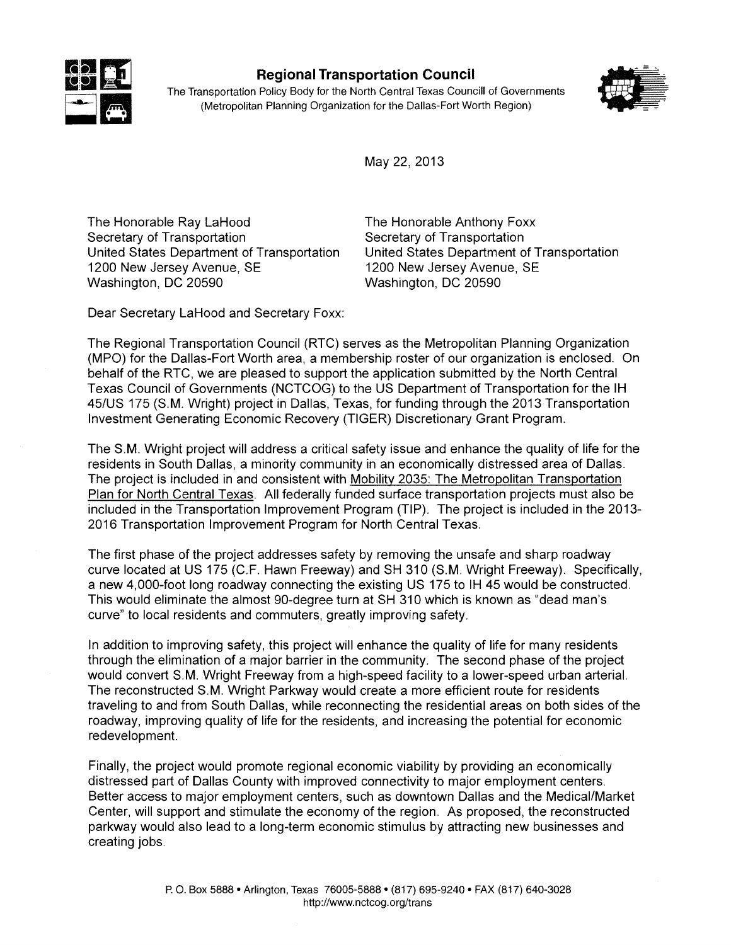

# **Regional Transportation Council**

The Transportation Policy Body for the North Central Texas Councill of Governments (Metropolitan Planning Organization for the Dallas-Fort Worth Region)



May 22, 2013

The Honorable Ray LaHood Secretary of Transportation United States Department of Transportation 1200 New Jersey Avenue, SE Washington, DC 20590

The Honorable Anthony Foxx Secretary of Transportation United States Department of Transportation 1200 New Jersey Avenue, SE Washington, DC 20590

Dear Secretary LaHood and Secretary Foxx:

The Regional Transportation Council (RTC) serves as the Metropolitan Planning Organization (MPO) for the Dallas-Fort Worth area, a membership roster of our organization is enclosed. On behalf of the RTC, we are pleased to support the application submitted by the North Central Texas Council of Governments (NCTCOG) to the US Department of Transportation for the IH 45/US 175 (S.M. Wright) project in Dallas, Texas, for funding through the 2013 Transportation Investment Generating Economic Recovery (TIGER) Discretionary Grant Program.

The S.M. Wright project will address a critical safety issue and enhance the quality of life for the residents in South Dallas, a minority community in an economically distressed area of Dallas. The proiect is included in and consistent with Mobility 2035: The Metropolitan Transportation Plan for North Central Texas. All federally funded surface transportation projects must also be included in the Transportation Improvement Program (TIP). The project is included in the 2013-2016 Transportation Improvement Program for North Central Texas.

The first phase of the project addresses safety by removing the unsafe and sharp roadway curve located at US 175 (C.F. Hawn Freeway) and SH 310 (S.M. Wright Freeway). Specifically, a new 4,000-foot long roadway connecting the existing US 175 to IH 45 would be constructed. This would eliminate the almost 90-degree turn at SH 310 which is known as "dead man's curve" to local residents and commuters, greatly improving safety.

In addition to improving safety, this project will enhance the quality of life for many residents through the elimination of a major barrier in the community. The second phase of the project would convert S.M. Wright Freeway from a high-speed facility to a lower-speed urban arterial. The reconstructed S.M. Wright Parkway would create a more efficient route for residents traveling to and from South Dallas, while reconnecting the residential areas on both sides of the roadway, improving quality of life for the residents, and increasing the potential for economic redevelopment.

Finally, the project would promote regional economic viability by providing an economically distressed part of Dallas County with improved connectivity to major employment centers. Better access to major employment centers, such as downtown Dallas and the Medical/Market Center, will support and stimulate the economy of the region. As proposed, the reconstructed parkway would also lead to a long-term economic stimulus by attracting new businesses and creating jobs.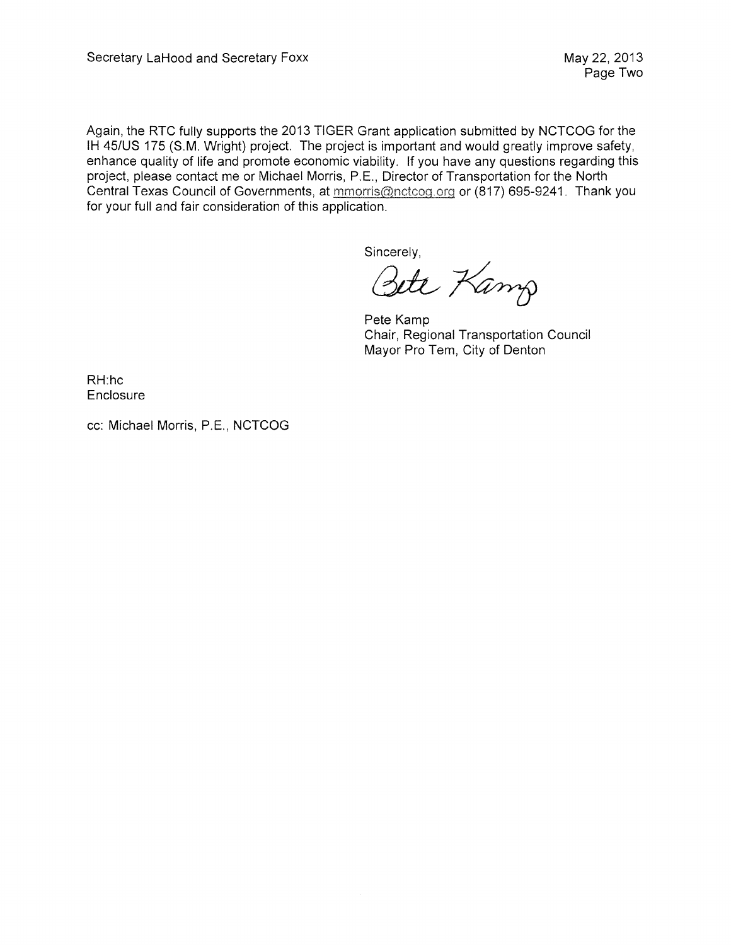Again, the RTC fully supports the 2013 TIGER Grant application submitted by NCTCOG for the IH 45/US 175 (S.M. Wright) project. The project is important and would greatly improve safety, enhance quality of life and promote economic viability. If you have any questions regarding this project, please contact me or Michael Morris, P.E., Director of Transportation for the North Central Texas Council of Governments, at mmorris@nctcog.org or (817) 695-9241. Thank you for your full and fair consideration of this application.

Sincerely,

Bete Kamp

Pete Kamp Chair, Regional Transportation Council Mayor Pro Tem, City of Denton

RH:hc Enclosure

cc: Michael Morris, P.E., NCTCOG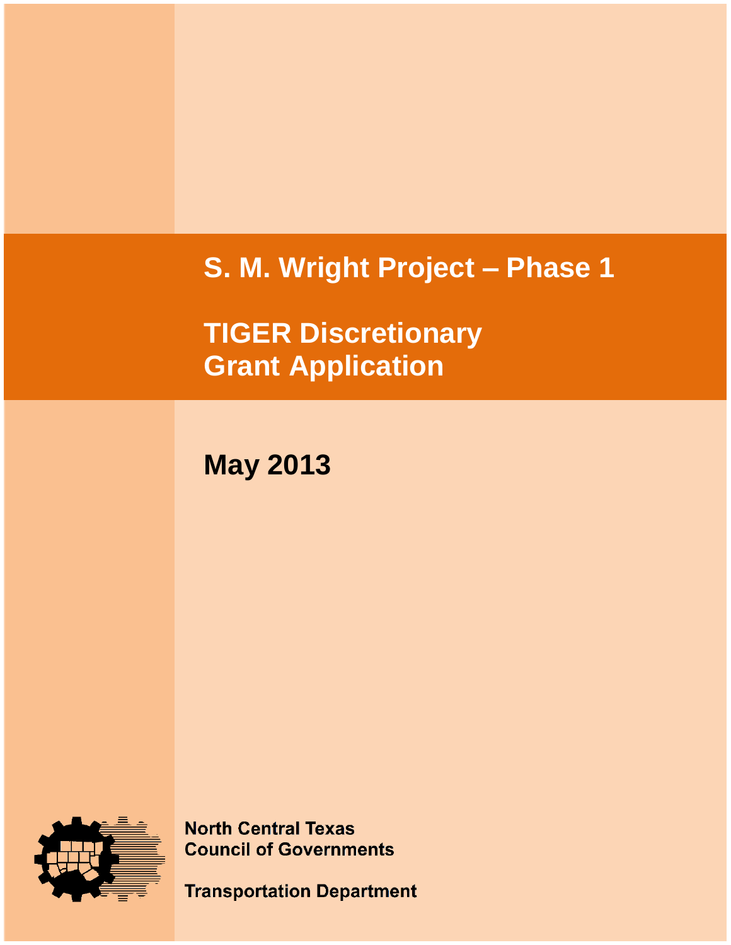# **S. M. Wright Project – Phase 1**

**TIGER Discretionary Grant Application**

**May 2013**



**North Central Texas Council of Governments** 

**Transportation Department**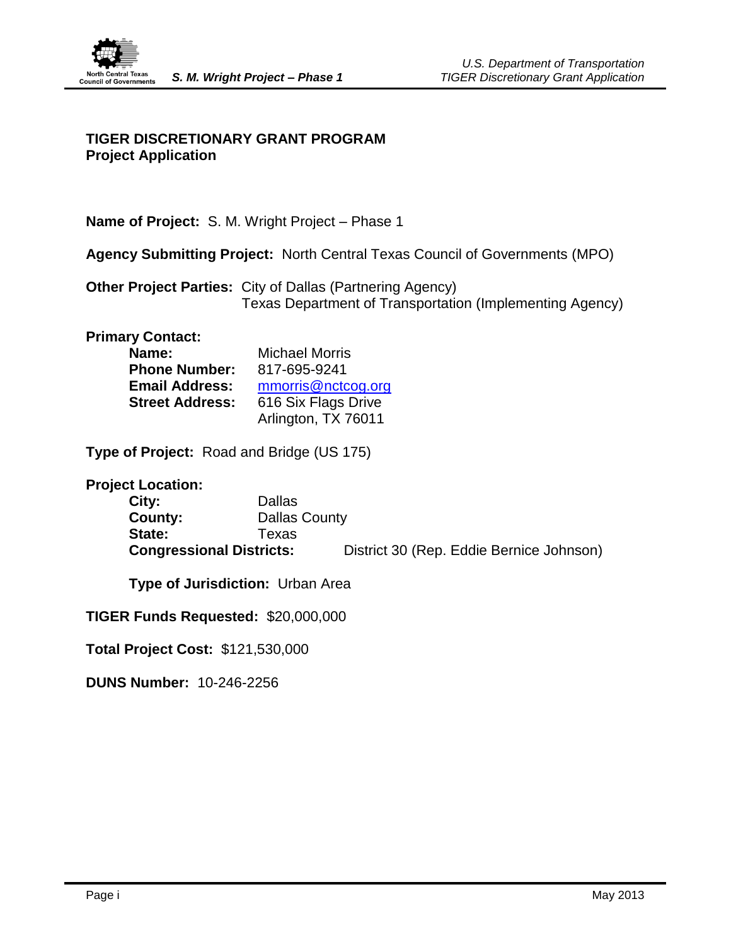

# **TIGER DISCRETIONARY GRANT PROGRAM Project Application**

**Name of Project:** S. M. Wright Project – Phase 1

**Agency Submitting Project:** North Central Texas Council of Governments (MPO)

**Other Project Parties:** City of Dallas (Partnering Agency) Texas Department of Transportation (Implementing Agency)

**Primary Contact:** 

| Name:                  | <b>Michael Morris</b> |
|------------------------|-----------------------|
| <b>Phone Number:</b>   | 817-695-9241          |
| <b>Email Address:</b>  | mmorris@nctcog.org    |
| <b>Street Address:</b> | 616 Six Flags Drive   |
|                        | Arlington, TX 76011   |

**Type of Project:** Road and Bridge (US 175)

**Project Location:** 

| City:                           | <b>Dallas</b> |                                          |
|---------------------------------|---------------|------------------------------------------|
| County:                         | Dallas County |                                          |
| State:                          | Texas         |                                          |
| <b>Congressional Districts:</b> |               | District 30 (Rep. Eddie Bernice Johnson) |

**Type of Jurisdiction:** Urban Area

**TIGER Funds Requested:** \$20,000,000

**Total Project Cost:** \$121,530,000

**DUNS Number:** 10-246-2256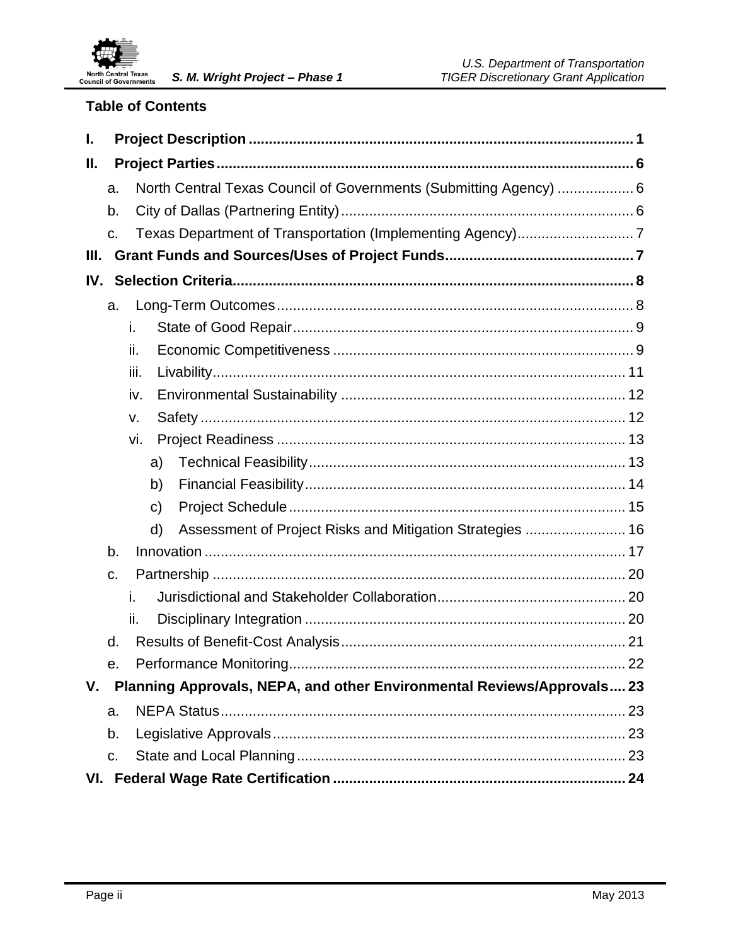

# **Table of Contents**

| I.   |    |                                                                        |  |
|------|----|------------------------------------------------------------------------|--|
| П.   |    |                                                                        |  |
|      | a. | North Central Texas Council of Governments (Submitting Agency)  6      |  |
|      | b. |                                                                        |  |
|      | c. |                                                                        |  |
| III. |    |                                                                        |  |
| IV.  |    |                                                                        |  |
|      | a. |                                                                        |  |
|      |    | i.                                                                     |  |
|      |    | ii.                                                                    |  |
|      |    | iii.                                                                   |  |
|      |    | iv.                                                                    |  |
|      |    | v.                                                                     |  |
|      |    | vi.                                                                    |  |
|      |    | a)                                                                     |  |
|      |    | b)                                                                     |  |
|      |    | C)                                                                     |  |
|      |    | Assessment of Project Risks and Mitigation Strategies  16<br>d)        |  |
|      | b. |                                                                        |  |
|      | c. |                                                                        |  |
|      |    | i.                                                                     |  |
|      |    | ii.                                                                    |  |
|      | d. |                                                                        |  |
|      |    |                                                                        |  |
| V.   |    | Planning Approvals, NEPA, and other Environmental Reviews/Approvals 23 |  |
|      | a. |                                                                        |  |
|      | b. |                                                                        |  |
|      | c. |                                                                        |  |
| VI.  |    |                                                                        |  |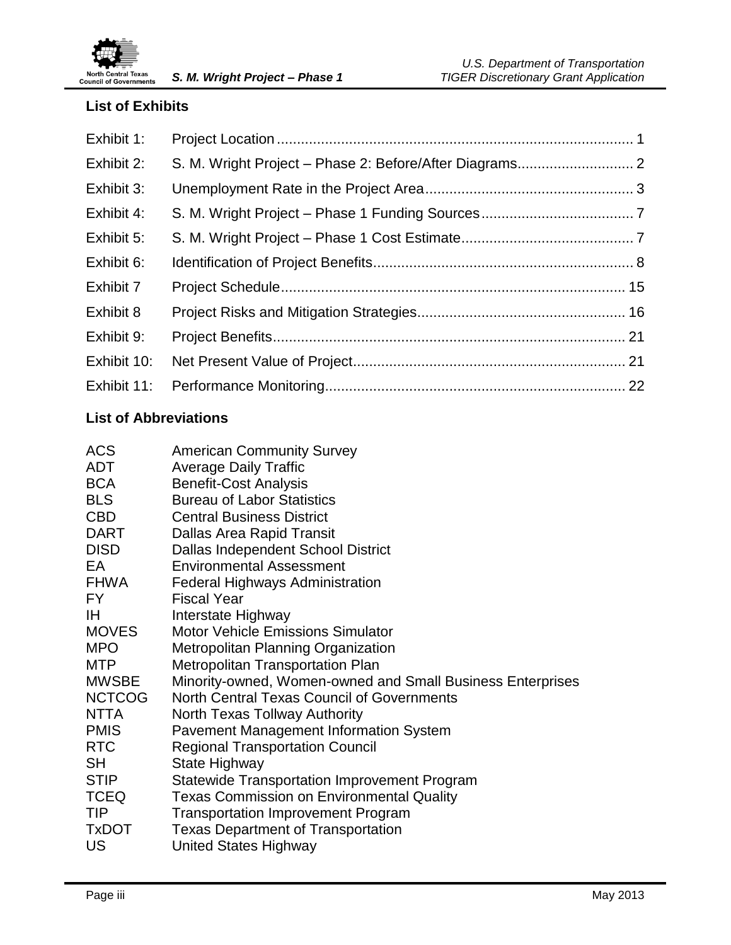

# **List of Exhibits**

| Exhibit 1:  |  |
|-------------|--|
| Exhibit 2:  |  |
| Exhibit 3:  |  |
| Exhibit 4:  |  |
| Exhibit 5:  |  |
| Exhibit 6:  |  |
| Exhibit 7   |  |
| Exhibit 8   |  |
| Exhibit 9:  |  |
| Exhibit 10: |  |
| Exhibit 11: |  |

# **List of Abbreviations**

| <b>American Community Survey</b>                           |
|------------------------------------------------------------|
| <b>Average Daily Traffic</b>                               |
| <b>Benefit-Cost Analysis</b>                               |
| <b>Bureau of Labor Statistics</b>                          |
| <b>Central Business District</b>                           |
| Dallas Area Rapid Transit                                  |
| Dallas Independent School District                         |
| <b>Environmental Assessment</b>                            |
| <b>Federal Highways Administration</b>                     |
| <b>Fiscal Year</b>                                         |
| Interstate Highway                                         |
| <b>Motor Vehicle Emissions Simulator</b>                   |
| <b>Metropolitan Planning Organization</b>                  |
| Metropolitan Transportation Plan                           |
| Minority-owned, Women-owned and Small Business Enterprises |
| <b>North Central Texas Council of Governments</b>          |
| North Texas Tollway Authority                              |
| <b>Pavement Management Information System</b>              |
| <b>Regional Transportation Council</b>                     |
| State Highway                                              |
| <b>Statewide Transportation Improvement Program</b>        |
| <b>Texas Commission on Environmental Quality</b>           |
| <b>Transportation Improvement Program</b>                  |
| <b>Texas Department of Transportation</b>                  |
| <b>United States Highway</b>                               |
|                                                            |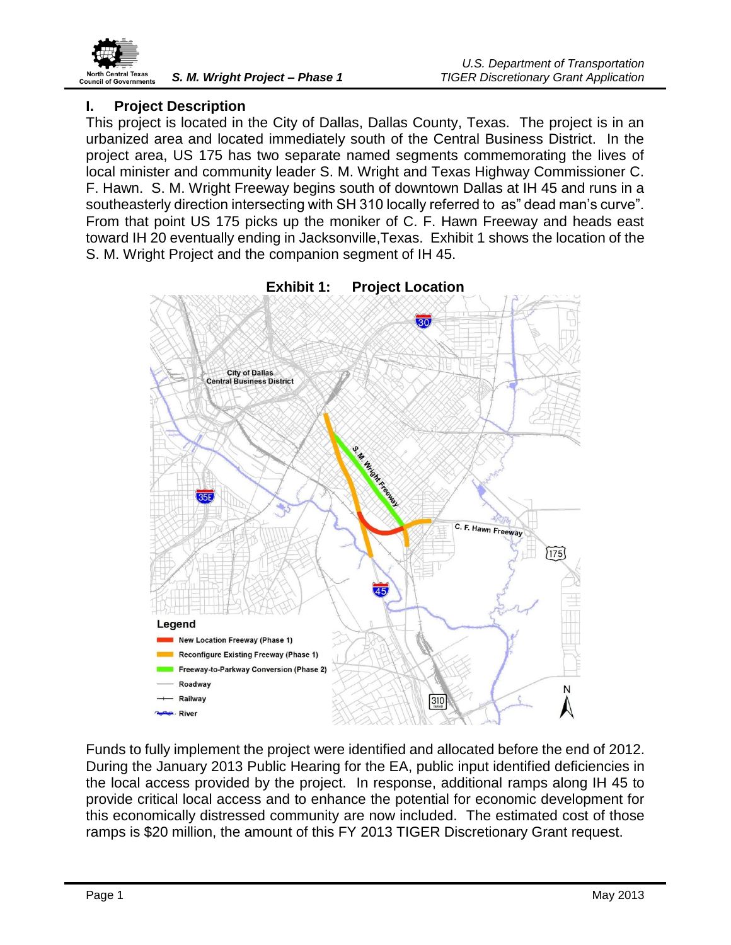

# <span id="page-6-0"></span>**I. Project Description**

This project is located in the City of Dallas, Dallas County, Texas. The project is in an urbanized area and located immediately south of the Central Business District. In the project area, US 175 has two separate named segments commemorating the lives of local minister and community leader S. M. Wright and Texas Highway Commissioner C. F. Hawn. S. M. Wright Freeway begins south of downtown Dallas at IH 45 and runs in a southeasterly direction intersecting with SH 310 locally referred to as" dead man's curve". From that point US 175 picks up the moniker of C. F. Hawn Freeway and heads east toward IH 20 eventually ending in Jacksonville,Texas. Exhibit 1 shows the location of the S. M. Wright Project and the companion segment of IH 45.

<span id="page-6-1"></span>

Funds to fully implement the project were identified and allocated before the end of 2012. During the January 2013 Public Hearing for the EA, public input identified deficiencies in the local access provided by the project. In response, additional ramps along IH 45 to provide critical local access and to enhance the potential for economic development for this economically distressed community are now included. The estimated cost of those ramps is \$20 million, the amount of this FY 2013 TIGER Discretionary Grant request.

**Exhibit 1: Project Location**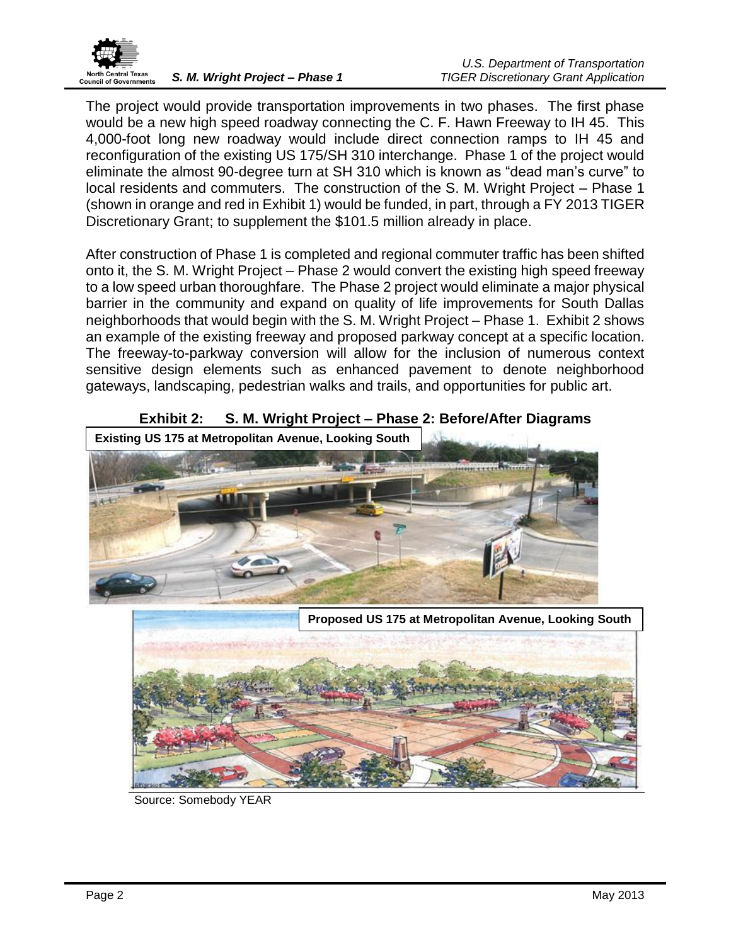

The project would provide transportation improvements in two phases. The first phase would be a new high speed roadway connecting the C. F. Hawn Freeway to IH 45. This 4,000-foot long new roadway would include direct connection ramps to IH 45 and reconfiguration of the existing US 175/SH 310 interchange. Phase 1 of the project would eliminate the almost 90-degree turn at SH 310 which is known as "dead man's curve" to local residents and commuters. The construction of the S. M. Wright Project – Phase 1 (shown in orange and red in Exhibit 1) would be funded, in part, through a FY 2013 TIGER Discretionary Grant; to supplement the \$101.5 million already in place.

After construction of Phase 1 is completed and regional commuter traffic has been shifted onto it, the S. M. Wright Project – Phase 2 would convert the existing high speed freeway to a low speed urban thoroughfare. The Phase 2 project would eliminate a major physical barrier in the community and expand on quality of life improvements for South Dallas neighborhoods that would begin with the S. M. Wright Project – Phase 1. Exhibit 2 shows an example of the existing freeway and proposed parkway concept at a specific location. The freeway-to-parkway conversion will allow for the inclusion of numerous context sensitive design elements such as enhanced pavement to denote neighborhood gateways, landscaping, pedestrian walks and trails, and opportunities for public art.

<span id="page-7-0"></span>

**Exhibit 2: S. M. Wright Project – Phase 2: Before/After Diagrams**



Source: Somebody YEAR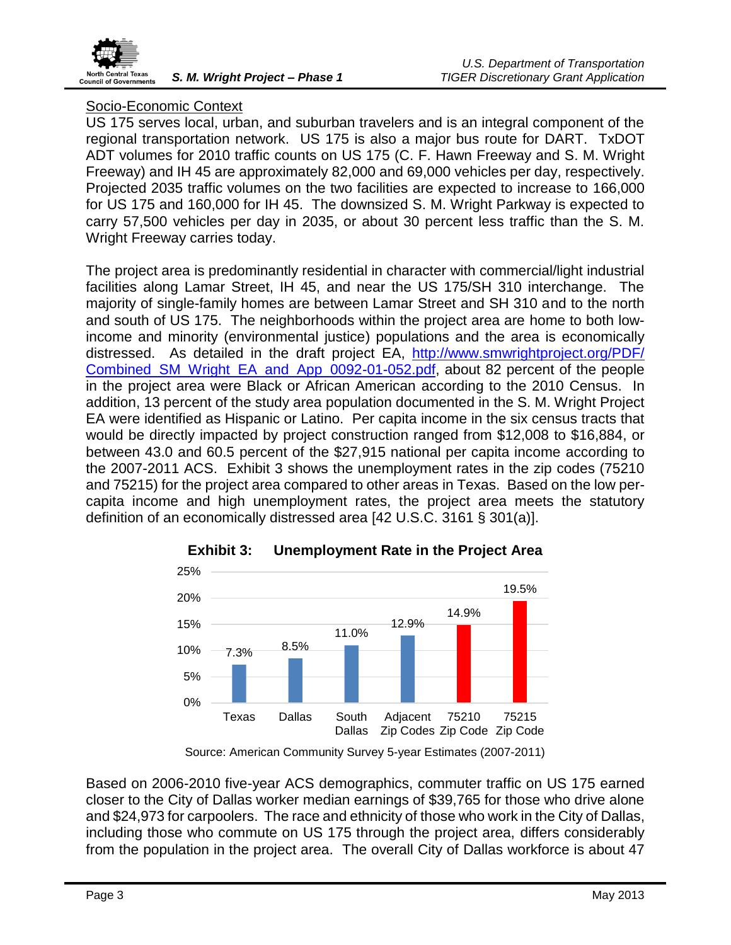

# Socio-Economic Context

US 175 serves local, urban, and suburban travelers and is an integral component of the regional transportation network. US 175 is also a major bus route for DART. TxDOT ADT volumes for 2010 traffic counts on US 175 (C. F. Hawn Freeway and S. M. Wright Freeway) and IH 45 are approximately 82,000 and 69,000 vehicles per day, respectively. Projected 2035 traffic volumes on the two facilities are expected to increase to 166,000 for US 175 and 160,000 for IH 45. The downsized S. M. Wright Parkway is expected to carry 57,500 vehicles per day in 2035, or about 30 percent less traffic than the S. M. Wright Freeway carries today.

The project area is predominantly residential in character with commercial/light industrial facilities along Lamar Street, IH 45, and near the US 175/SH 310 interchange. The majority of single-family homes are between Lamar Street and SH 310 and to the north and south of US 175. The neighborhoods within the project area are home to both lowincome and minority (environmental justice) populations and the area is economically distressed. As detailed in the draft project EA, http://www.smwrightproject.org/PDF/ [Combined\\_SM\\_Wright\\_EA\\_and\\_App\\_0092-01-052.pdf,](http://www.smwrightproject.org/PDF/%20Combined_SM_Wright_EA_and_App_0092-01-052.pdf) about 82 percent of the people in the project area were Black or African American according to the 2010 Census. In addition, 13 percent of the study area population documented in the S. M. Wright Project EA were identified as Hispanic or Latino. Per capita income in the six census tracts that would be directly impacted by project construction ranged from \$12,008 to \$16,884, or between 43.0 and 60.5 percent of the \$27,915 national per capita income according to the 2007-2011 ACS. Exhibit 3 shows the unemployment rates in the zip codes (75210 and 75215) for the project area compared to other areas in Texas. Based on the low percapita income and high unemployment rates, the project area meets the statutory definition of an economically distressed area [42 U.S.C. 3161 § 301(a)].

<span id="page-8-0"></span>

**Exhibit 3: Unemployment Rate in the Project Area**

Based on 2006-2010 five-year ACS demographics, commuter traffic on US 175 earned closer to the City of Dallas worker median earnings of \$39,765 for those who drive alone and \$24,973 for carpoolers. The race and ethnicity of those who work in the City of Dallas, including those who commute on US 175 through the project area, differs considerably from the population in the project area. The overall City of Dallas workforce is about 47

Source: American Community Survey 5-year Estimates (2007-2011)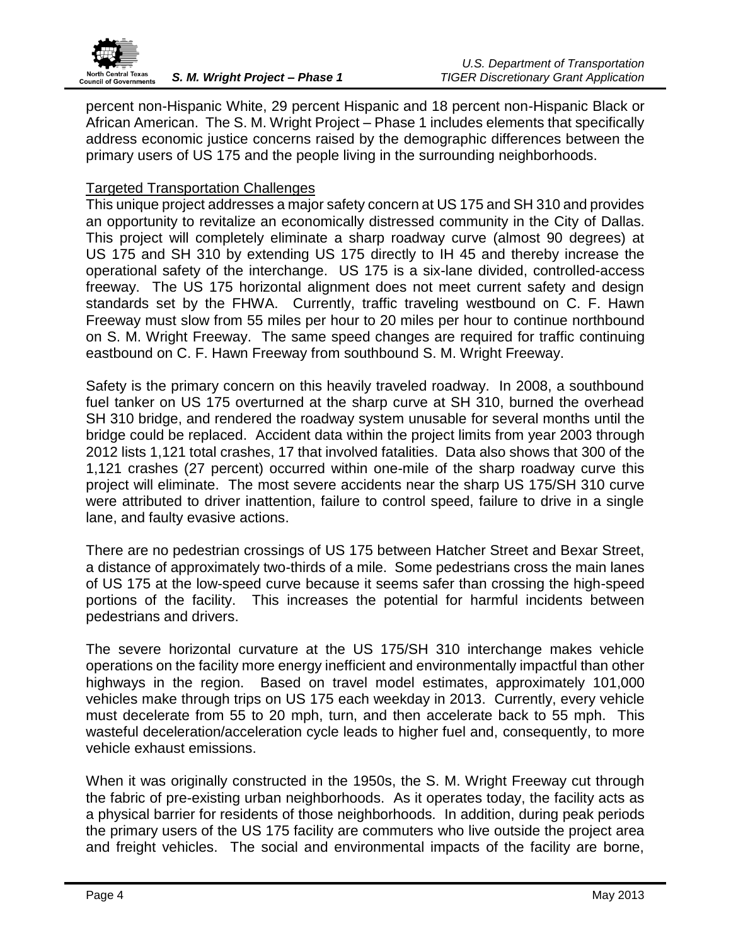

percent non-Hispanic White, 29 percent Hispanic and 18 percent non-Hispanic Black or African American. The S. M. Wright Project – Phase 1 includes elements that specifically address economic justice concerns raised by the demographic differences between the primary users of US 175 and the people living in the surrounding neighborhoods.

# Targeted Transportation Challenges

This unique project addresses a major safety concern at US 175 and SH 310 and provides an opportunity to revitalize an economically distressed community in the City of Dallas. This project will completely eliminate a sharp roadway curve (almost 90 degrees) at US 175 and SH 310 by extending US 175 directly to IH 45 and thereby increase the operational safety of the interchange. US 175 is a six-lane divided, controlled-access freeway. The US 175 horizontal alignment does not meet current safety and design standards set by the FHWA. Currently, traffic traveling westbound on C. F. Hawn Freeway must slow from 55 miles per hour to 20 miles per hour to continue northbound on S. M. Wright Freeway. The same speed changes are required for traffic continuing eastbound on C. F. Hawn Freeway from southbound S. M. Wright Freeway.

Safety is the primary concern on this heavily traveled roadway. In 2008, a southbound fuel tanker on US 175 overturned at the sharp curve at SH 310, burned the overhead SH 310 bridge, and rendered the roadway system unusable for several months until the bridge could be replaced. Accident data within the project limits from year 2003 through 2012 lists 1,121 total crashes, 17 that involved fatalities. Data also shows that 300 of the 1,121 crashes (27 percent) occurred within one-mile of the sharp roadway curve this project will eliminate. The most severe accidents near the sharp US 175/SH 310 curve were attributed to driver inattention, failure to control speed, failure to drive in a single lane, and faulty evasive actions.

There are no pedestrian crossings of US 175 between Hatcher Street and Bexar Street, a distance of approximately two-thirds of a mile. Some pedestrians cross the main lanes of US 175 at the low-speed curve because it seems safer than crossing the high-speed portions of the facility. This increases the potential for harmful incidents between pedestrians and drivers.

The severe horizontal curvature at the US 175/SH 310 interchange makes vehicle operations on the facility more energy inefficient and environmentally impactful than other highways in the region. Based on travel model estimates, approximately 101,000 vehicles make through trips on US 175 each weekday in 2013. Currently, every vehicle must decelerate from 55 to 20 mph, turn, and then accelerate back to 55 mph. This wasteful deceleration/acceleration cycle leads to higher fuel and, consequently, to more vehicle exhaust emissions.

When it was originally constructed in the 1950s, the S. M. Wright Freeway cut through the fabric of pre-existing urban neighborhoods. As it operates today, the facility acts as a physical barrier for residents of those neighborhoods. In addition, during peak periods the primary users of the US 175 facility are commuters who live outside the project area and freight vehicles. The social and environmental impacts of the facility are borne,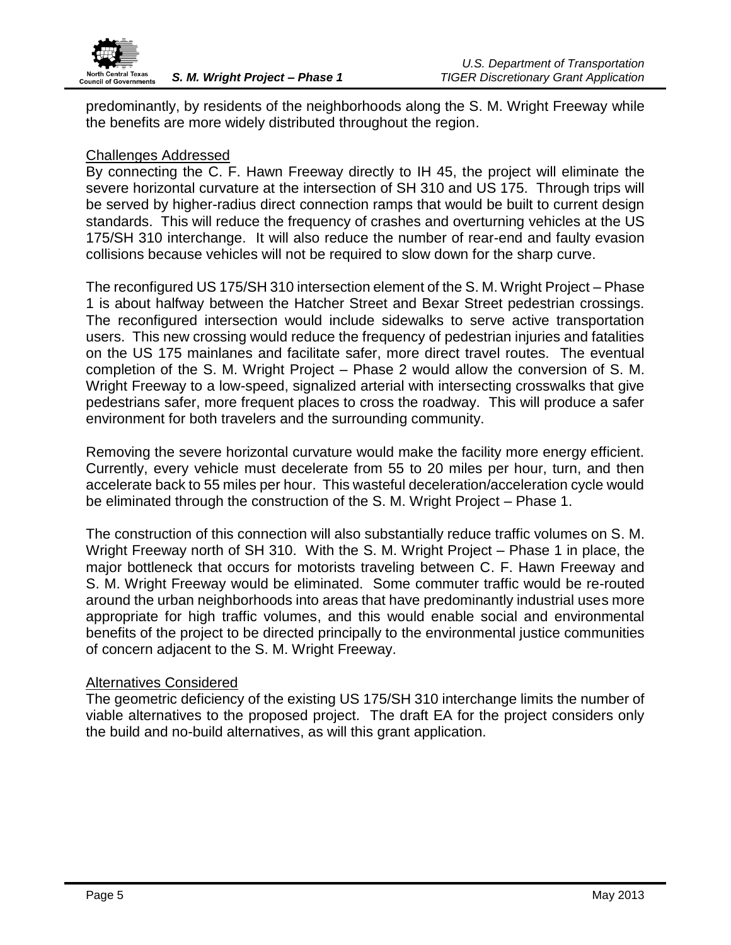

predominantly, by residents of the neighborhoods along the S. M. Wright Freeway while the benefits are more widely distributed throughout the region.

### Challenges Addressed

By connecting the C. F. Hawn Freeway directly to IH 45, the project will eliminate the severe horizontal curvature at the intersection of SH 310 and US 175. Through trips will be served by higher-radius direct connection ramps that would be built to current design standards. This will reduce the frequency of crashes and overturning vehicles at the US 175/SH 310 interchange. It will also reduce the number of rear-end and faulty evasion collisions because vehicles will not be required to slow down for the sharp curve.

The reconfigured US 175/SH 310 intersection element of the S. M. Wright Project – Phase 1 is about halfway between the Hatcher Street and Bexar Street pedestrian crossings. The reconfigured intersection would include sidewalks to serve active transportation users. This new crossing would reduce the frequency of pedestrian injuries and fatalities on the US 175 mainlanes and facilitate safer, more direct travel routes. The eventual completion of the S. M. Wright Project – Phase 2 would allow the conversion of S. M. Wright Freeway to a low-speed, signalized arterial with intersecting crosswalks that give pedestrians safer, more frequent places to cross the roadway. This will produce a safer environment for both travelers and the surrounding community.

Removing the severe horizontal curvature would make the facility more energy efficient. Currently, every vehicle must decelerate from 55 to 20 miles per hour, turn, and then accelerate back to 55 miles per hour. This wasteful deceleration/acceleration cycle would be eliminated through the construction of the S. M. Wright Project – Phase 1.

The construction of this connection will also substantially reduce traffic volumes on S. M. Wright Freeway north of SH 310. With the S. M. Wright Project – Phase 1 in place, the major bottleneck that occurs for motorists traveling between C. F. Hawn Freeway and S. M. Wright Freeway would be eliminated. Some commuter traffic would be re-routed around the urban neighborhoods into areas that have predominantly industrial uses more appropriate for high traffic volumes, and this would enable social and environmental benefits of the project to be directed principally to the environmental justice communities of concern adjacent to the S. M. Wright Freeway.

### Alternatives Considered

The geometric deficiency of the existing US 175/SH 310 interchange limits the number of viable alternatives to the proposed project. The draft EA for the project considers only the build and no-build alternatives, as will this grant application.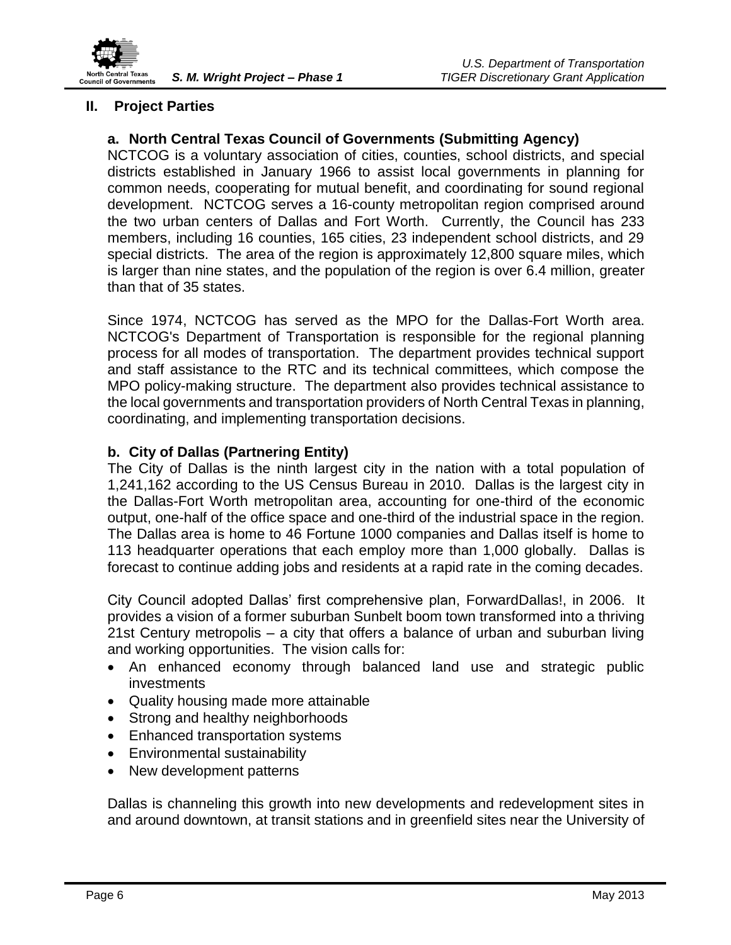

### <span id="page-11-0"></span>**II. Project Parties**

# <span id="page-11-1"></span>**a. North Central Texas Council of Governments (Submitting Agency)**

NCTCOG is a voluntary association of cities, counties, school districts, and special districts established in January 1966 to assist local governments in planning for common needs, cooperating for mutual benefit, and coordinating for sound regional development. NCTCOG serves a 16-county metropolitan region comprised around the two urban centers of Dallas and Fort Worth. Currently, the Council has 233 members, including 16 counties, 165 cities, 23 independent school districts, and 29 special districts. The area of the region is approximately 12,800 square miles, which is larger than nine states, and the population of the region is over 6.4 million, greater than that of 35 states.

Since 1974, NCTCOG has served as the MPO for the Dallas-Fort Worth area. NCTCOG's Department of Transportation is responsible for the regional planning process for all modes of transportation. The department provides technical support and staff assistance to the RTC and its technical committees, which compose the MPO policy-making structure. The department also provides technical assistance to the local governments and transportation providers of North Central Texas in planning, coordinating, and implementing transportation decisions.

# <span id="page-11-2"></span>**b. City of Dallas (Partnering Entity)**

The City of Dallas is the ninth largest city in the nation with a total population of 1,241,162 according to the US Census Bureau in 2010. Dallas is the largest city in the Dallas-Fort Worth metropolitan area, accounting for one-third of the economic output, one-half of the office space and one-third of the industrial space in the region. The Dallas area is home to 46 Fortune 1000 companies and Dallas itself is home to 113 headquarter operations that each employ more than 1,000 globally. Dallas is forecast to continue adding jobs and residents at a rapid rate in the coming decades.

City Council adopted Dallas' first comprehensive plan, ForwardDallas!, in 2006. It provides a vision of a former suburban Sunbelt boom town transformed into a thriving 21st Century metropolis – a city that offers a balance of urban and suburban living and working opportunities. The vision calls for:

- An enhanced economy through balanced land use and strategic public investments
- Quality housing made more attainable
- Strong and healthy neighborhoods
- Enhanced transportation systems
- Environmental sustainability
- New development patterns

Dallas is channeling this growth into new developments and redevelopment sites in and around downtown, at transit stations and in greenfield sites near the University of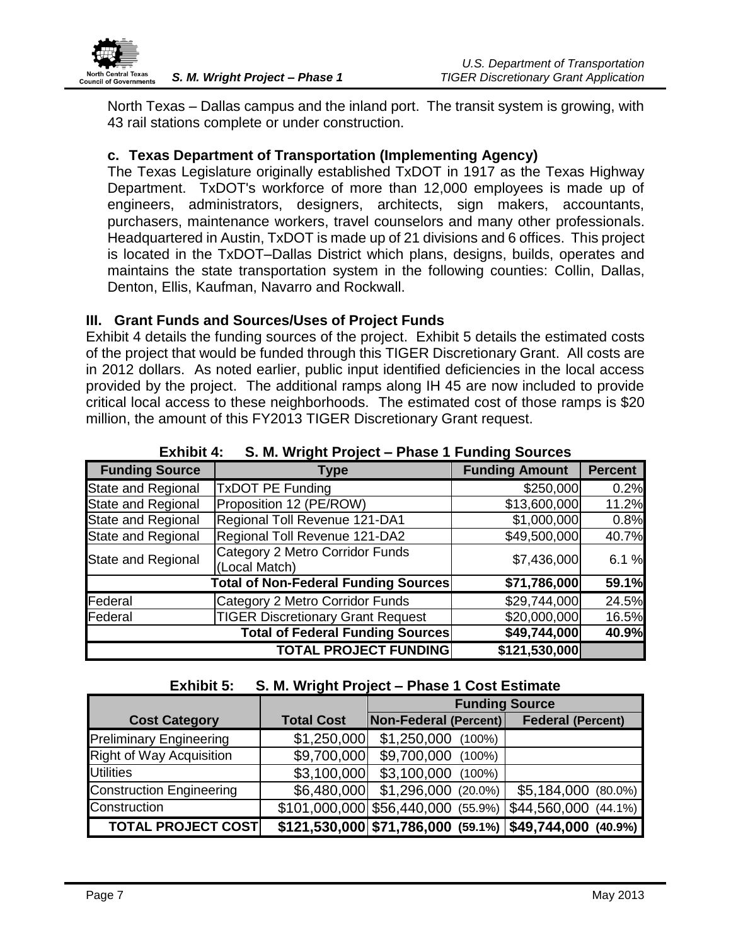

North Texas – Dallas campus and the inland port. The transit system is growing, with 43 rail stations complete or under construction.

### <span id="page-12-0"></span>**c. Texas Department of Transportation (Implementing Agency)**

The Texas Legislature originally established TxDOT in 1917 as the Texas Highway Department. TxDOT's workforce of more than 12,000 employees is made up of engineers, administrators, designers, architects, sign makers, accountants, purchasers, maintenance workers, travel counselors and many other professionals. Headquartered in Austin, TxDOT is made up of 21 divisions and 6 offices. This project is located in the TxDOT–Dallas District which plans, designs, builds, operates and maintains the state transportation system in the following counties: Collin, Dallas, Denton, Ellis, Kaufman, Navarro and Rockwall.

### <span id="page-12-1"></span>**III. Grant Funds and Sources/Uses of Project Funds**

Exhibit 4 details the funding sources of the project. Exhibit 5 details the estimated costs of the project that would be funded through this TIGER Discretionary Grant. All costs are in 2012 dollars. As noted earlier, public input identified deficiencies in the local access provided by the project. The additional ramps along IH 45 are now included to provide critical local access to these neighborhoods. The estimated cost of those ramps is \$20 million, the amount of this FY2013 TIGER Discretionary Grant request.

<span id="page-12-2"></span>

| <b>Funding Source</b>     | Type                                             | <b>Funding Amount</b> | <b>Percent</b> |
|---------------------------|--------------------------------------------------|-----------------------|----------------|
| <b>State and Regional</b> | TxDOT PE Funding                                 | \$250,000             | 0.2%           |
| <b>State and Regional</b> | Proposition 12 (PE/ROW)                          | \$13,600,000          | 11.2%          |
| <b>State and Regional</b> | Regional Toll Revenue 121-DA1                    | \$1,000,000           | 0.8%           |
| <b>State and Regional</b> | Regional Toll Revenue 121-DA2                    | \$49,500,000          | 40.7%          |
| <b>State and Regional</b> | Category 2 Metro Corridor Funds<br>(Local Match) | \$7,436,000           | 6.1%           |
|                           | Total of Non-Federal Funding Sources             | \$71,786,000          | 59.1%          |
| Federal                   | Category 2 Metro Corridor Funds                  | \$29,744,000          | 24.5%          |
| Federal                   | <b>TIGER Discretionary Grant Request</b>         | \$20,000,000          | 16.5%          |
|                           | Total of Federal Funding Sources                 | \$49,744,000          | 40.9%          |
|                           | <b>TOTAL PROJECT FUNDING</b>                     | \$121,530,000         |                |

### **Exhibit 4: S. M. Wright Project – Phase 1 Funding Sources**

### **Exhibit 5: S. M. Wright Project – Phase 1 Cost Estimate**

<span id="page-12-3"></span>

|                                 |                   | <b>Funding Source</b> |                                                            |  |  |  |  |  |  |
|---------------------------------|-------------------|-----------------------|------------------------------------------------------------|--|--|--|--|--|--|
| <b>Cost Category</b>            | <b>Total Cost</b> | Non-Federal (Percent) | <b>Federal (Percent)</b>                                   |  |  |  |  |  |  |
| <b>Preliminary Engineering</b>  | \$1,250,000       | $$1,250,000$ (100%)   |                                                            |  |  |  |  |  |  |
| <b>Right of Way Acquisition</b> | \$9,700,000       | \$9,700,000 (100%)    |                                                            |  |  |  |  |  |  |
| <b>Utilities</b>                | \$3,100,000       | \$3,100,000 (100%)    |                                                            |  |  |  |  |  |  |
| <b>Construction Engineering</b> | \$6,480,000       | \$1,296,000 (20.0%)   | $$5,184,000$ (80.0%)                                       |  |  |  |  |  |  |
| Construction                    |                   |                       | $$101,000,000$ $$56,440,000$ (55.9%) $$44,560,000$ (44.1%) |  |  |  |  |  |  |
| <b>TOTAL PROJECT COST</b>       |                   |                       | $$121,530,000$ $$71,786,000$ (59.1%) $$49,744,000$ (40.9%) |  |  |  |  |  |  |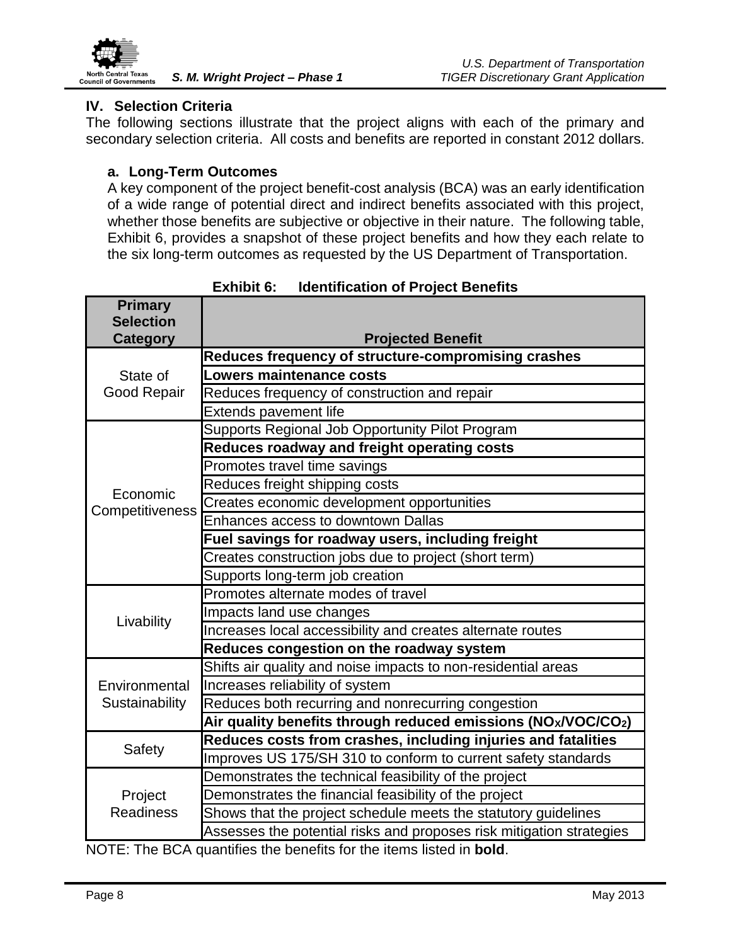

### <span id="page-13-0"></span>**IV. Selection Criteria**

The following sections illustrate that the project aligns with each of the primary and secondary selection criteria. All costs and benefits are reported in constant 2012 dollars.

# <span id="page-13-1"></span>**a. Long-Term Outcomes**

A key component of the project benefit-cost analysis (BCA) was an early identification of a wide range of potential direct and indirect benefits associated with this project, whether those benefits are subjective or objective in their nature. The following table, Exhibit 6, provides a snapshot of these project benefits and how they each relate to the six long-term outcomes as requested by the US Department of Transportation.

<span id="page-13-2"></span>

| <b>Primary</b>     |                                                                             |
|--------------------|-----------------------------------------------------------------------------|
| <b>Selection</b>   |                                                                             |
| <b>Category</b>    | <b>Projected Benefit</b>                                                    |
|                    | Reduces frequency of structure-compromising crashes                         |
| State of           | <b>Lowers maintenance costs</b>                                             |
| <b>Good Repair</b> | Reduces frequency of construction and repair                                |
|                    | <b>Extends pavement life</b>                                                |
|                    | Supports Regional Job Opportunity Pilot Program                             |
|                    | Reduces roadway and freight operating costs                                 |
|                    | Promotes travel time savings                                                |
| Economic           | Reduces freight shipping costs                                              |
| Competitiveness    | Creates economic development opportunities                                  |
|                    | Enhances access to downtown Dallas                                          |
|                    | Fuel savings for roadway users, including freight                           |
|                    | Creates construction jobs due to project (short term)                       |
|                    | Supports long-term job creation                                             |
|                    | Promotes alternate modes of travel                                          |
|                    | Impacts land use changes                                                    |
| Livability         | Increases local accessibility and creates alternate routes                  |
|                    | Reduces congestion on the roadway system                                    |
|                    | Shifts air quality and noise impacts to non-residential areas               |
| Environmental      | Increases reliability of system                                             |
| Sustainability     | Reduces both recurring and nonrecurring congestion                          |
|                    | Air quality benefits through reduced emissions (NOx/VOC/CO <sub>2</sub> )   |
| Safety             | Reduces costs from crashes, including injuries and fatalities               |
|                    | Improves US 175/SH 310 to conform to current safety standards               |
|                    | Demonstrates the technical feasibility of the project                       |
| Project            | Demonstrates the financial feasibility of the project                       |
| <b>Readiness</b>   | Shows that the project schedule meets the statutory guidelines              |
|                    | Assesses the potential risks and proposes risk mitigation strategies        |
|                    | NOTE: The BCA quantifies the benefits for the items listed in <b>bold</b> . |

**Exhibit 6: Identification of Project Benefits**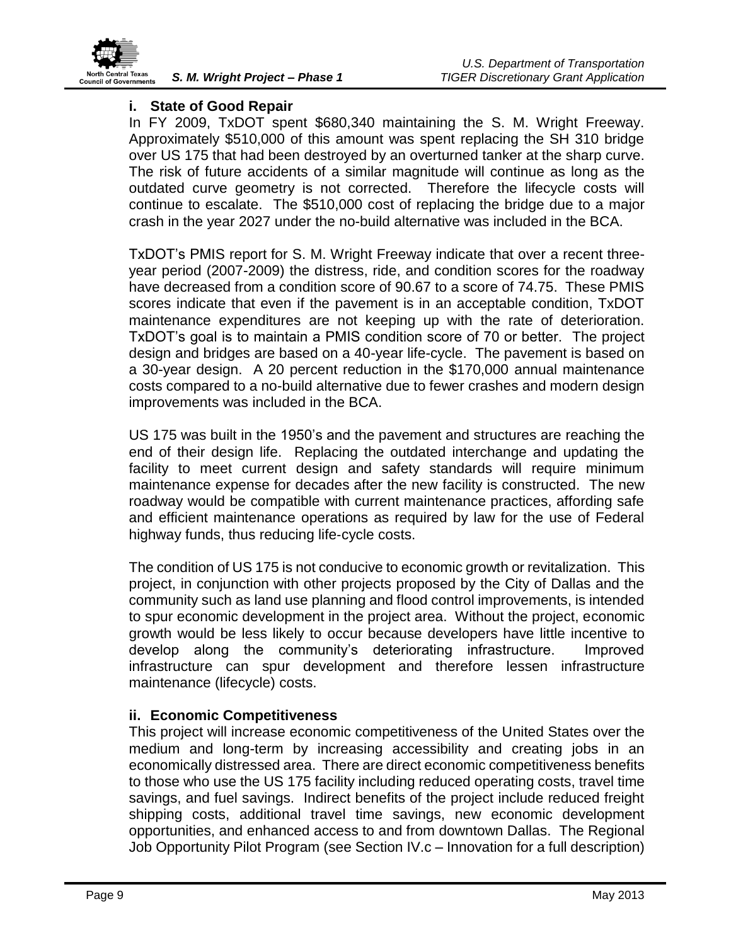

### <span id="page-14-0"></span>**i. State of Good Repair**

In FY 2009, TxDOT spent \$680,340 maintaining the S. M. Wright Freeway. Approximately \$510,000 of this amount was spent replacing the SH 310 bridge over US 175 that had been destroyed by an overturned tanker at the sharp curve. The risk of future accidents of a similar magnitude will continue as long as the outdated curve geometry is not corrected. Therefore the lifecycle costs will continue to escalate. The \$510,000 cost of replacing the bridge due to a major crash in the year 2027 under the no-build alternative was included in the BCA.

TxDOT's PMIS report for S. M. Wright Freeway indicate that over a recent threeyear period (2007-2009) the distress, ride, and condition scores for the roadway have decreased from a condition score of 90.67 to a score of 74.75. These PMIS scores indicate that even if the pavement is in an acceptable condition, TxDOT maintenance expenditures are not keeping up with the rate of deterioration. TxDOT's goal is to maintain a PMIS condition score of 70 or better. The project design and bridges are based on a 40-year life-cycle. The pavement is based on a 30-year design. A 20 percent reduction in the \$170,000 annual maintenance costs compared to a no-build alternative due to fewer crashes and modern design improvements was included in the BCA.

US 175 was built in the 1950's and the pavement and structures are reaching the end of their design life. Replacing the outdated interchange and updating the facility to meet current design and safety standards will require minimum maintenance expense for decades after the new facility is constructed. The new roadway would be compatible with current maintenance practices, affording safe and efficient maintenance operations as required by law for the use of Federal highway funds, thus reducing life‐cycle costs.

The condition of US 175 is not conducive to economic growth or revitalization. This project, in conjunction with other projects proposed by the City of Dallas and the community such as land use planning and flood control improvements, is intended to spur economic development in the project area. Without the project, economic growth would be less likely to occur because developers have little incentive to develop along the community's deteriorating infrastructure. Improved infrastructure can spur development and therefore lessen infrastructure maintenance (lifecycle) costs.

# <span id="page-14-1"></span>**ii. Economic Competitiveness**

This project will increase economic competitiveness of the United States over the medium and long-term by increasing accessibility and creating jobs in an economically distressed area. There are direct economic competitiveness benefits to those who use the US 175 facility including reduced operating costs, travel time savings, and fuel savings. Indirect benefits of the project include reduced freight shipping costs, additional travel time savings, new economic development opportunities, and enhanced access to and from downtown Dallas. The Regional Job Opportunity Pilot Program (see Section IV.c – Innovation for a full description)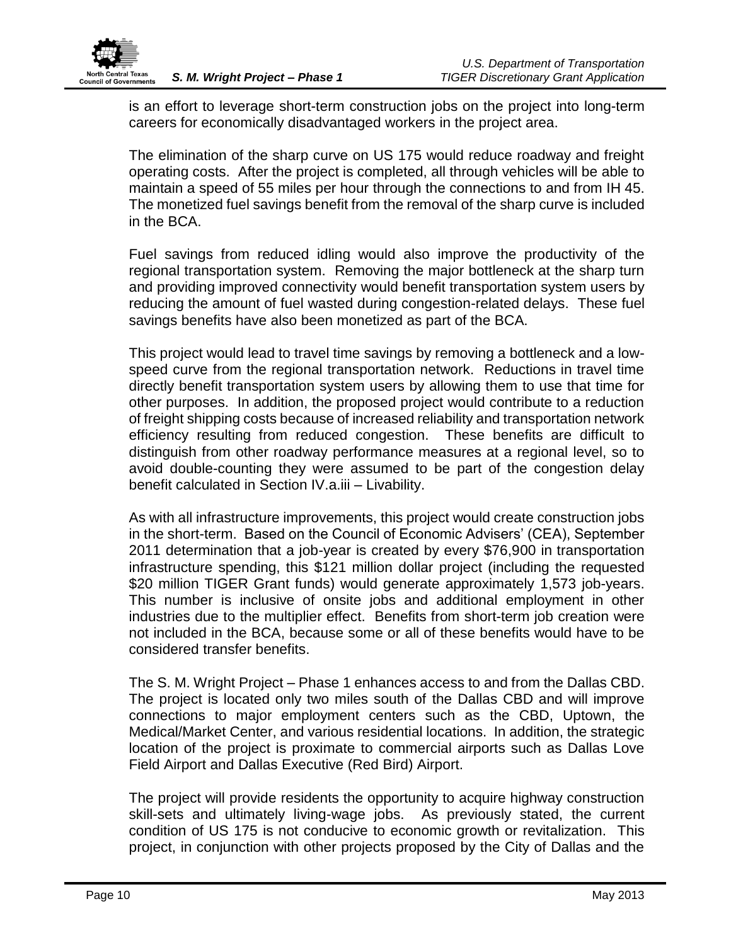

is an effort to leverage short-term construction jobs on the project into long-term careers for economically disadvantaged workers in the project area.

The elimination of the sharp curve on US 175 would reduce roadway and freight operating costs. After the project is completed, all through vehicles will be able to maintain a speed of 55 miles per hour through the connections to and from IH 45. The monetized fuel savings benefit from the removal of the sharp curve is included in the BCA.

Fuel savings from reduced idling would also improve the productivity of the regional transportation system. Removing the major bottleneck at the sharp turn and providing improved connectivity would benefit transportation system users by reducing the amount of fuel wasted during congestion-related delays. These fuel savings benefits have also been monetized as part of the BCA.

This project would lead to travel time savings by removing a bottleneck and a lowspeed curve from the regional transportation network. Reductions in travel time directly benefit transportation system users by allowing them to use that time for other purposes. In addition, the proposed project would contribute to a reduction of freight shipping costs because of increased reliability and transportation network efficiency resulting from reduced congestion. These benefits are difficult to distinguish from other roadway performance measures at a regional level, so to avoid double-counting they were assumed to be part of the congestion delay benefit calculated in Section IV.a.iii – Livability.

As with all infrastructure improvements, this project would create construction jobs in the short-term. Based on the Council of Economic Advisers' (CEA), September 2011 determination that a job-year is created by every \$76,900 in transportation infrastructure spending, this \$121 million dollar project (including the requested \$20 million TIGER Grant funds) would generate approximately 1,573 job-years. This number is inclusive of onsite jobs and additional employment in other industries due to the multiplier effect. Benefits from short-term job creation were not included in the BCA, because some or all of these benefits would have to be considered transfer benefits.

The S. M. Wright Project – Phase 1 enhances access to and from the Dallas CBD. The project is located only two miles south of the Dallas CBD and will improve connections to major employment centers such as the CBD, Uptown, the Medical/Market Center, and various residential locations. In addition, the strategic location of the project is proximate to commercial airports such as Dallas Love Field Airport and Dallas Executive (Red Bird) Airport.

The project will provide residents the opportunity to acquire highway construction skill-sets and ultimately living-wage jobs. As previously stated, the current condition of US 175 is not conducive to economic growth or revitalization. This project, in conjunction with other projects proposed by the City of Dallas and the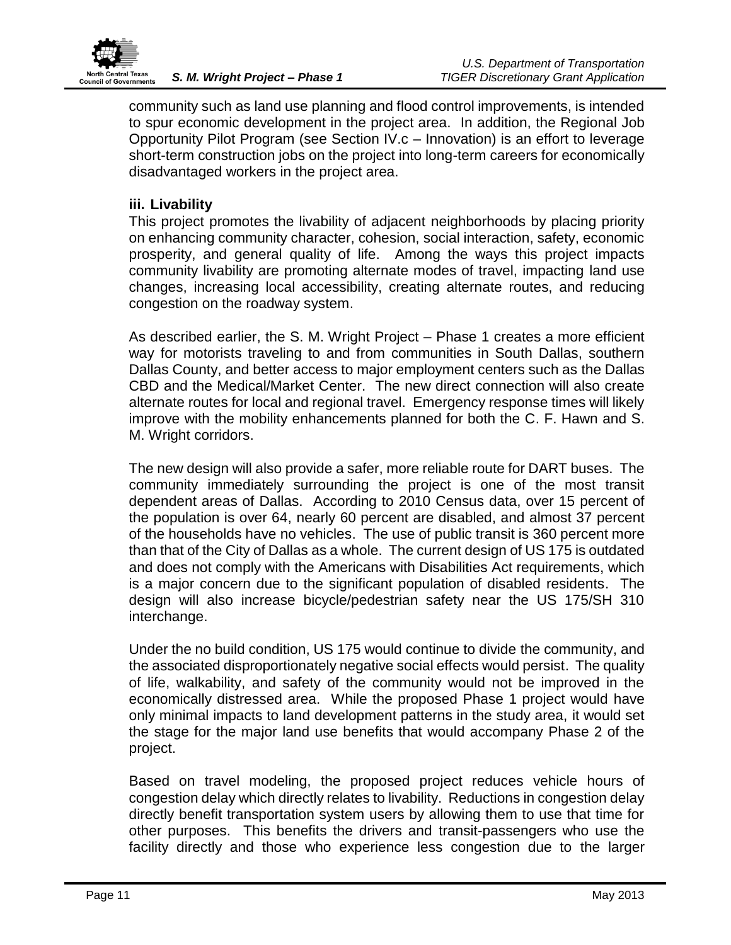

community such as land use planning and flood control improvements, is intended to spur economic development in the project area. In addition, the Regional Job Opportunity Pilot Program (see Section IV.c – Innovation) is an effort to leverage short-term construction jobs on the project into long-term careers for economically disadvantaged workers in the project area.

# <span id="page-16-0"></span>**iii. Livability**

This project promotes the livability of adjacent neighborhoods by placing priority on enhancing community character, cohesion, social interaction, safety, economic prosperity, and general quality of life. Among the ways this project impacts community livability are promoting alternate modes of travel, impacting land use changes, increasing local accessibility, creating alternate routes, and reducing congestion on the roadway system.

As described earlier, the S. M. Wright Project – Phase 1 creates a more efficient way for motorists traveling to and from communities in South Dallas, southern Dallas County, and better access to major employment centers such as the Dallas CBD and the Medical/Market Center. The new direct connection will also create alternate routes for local and regional travel. Emergency response times will likely improve with the mobility enhancements planned for both the C. F. Hawn and S. M. Wright corridors.

The new design will also provide a safer, more reliable route for DART buses. The community immediately surrounding the project is one of the most transit dependent areas of Dallas. According to 2010 Census data, over 15 percent of the population is over 64, nearly 60 percent are disabled, and almost 37 percent of the households have no vehicles. The use of public transit is 360 percent more than that of the City of Dallas as a whole. The current design of US 175 is outdated and does not comply with the Americans with Disabilities Act requirements, which is a major concern due to the significant population of disabled residents. The design will also increase bicycle/pedestrian safety near the US 175/SH 310 interchange.

Under the no build condition, US 175 would continue to divide the community, and the associated disproportionately negative social effects would persist. The quality of life, walkability, and safety of the community would not be improved in the economically distressed area. While the proposed Phase 1 project would have only minimal impacts to land development patterns in the study area, it would set the stage for the major land use benefits that would accompany Phase 2 of the project.

Based on travel modeling, the proposed project reduces vehicle hours of congestion delay which directly relates to livability. Reductions in congestion delay directly benefit transportation system users by allowing them to use that time for other purposes. This benefits the drivers and transit-passengers who use the facility directly and those who experience less congestion due to the larger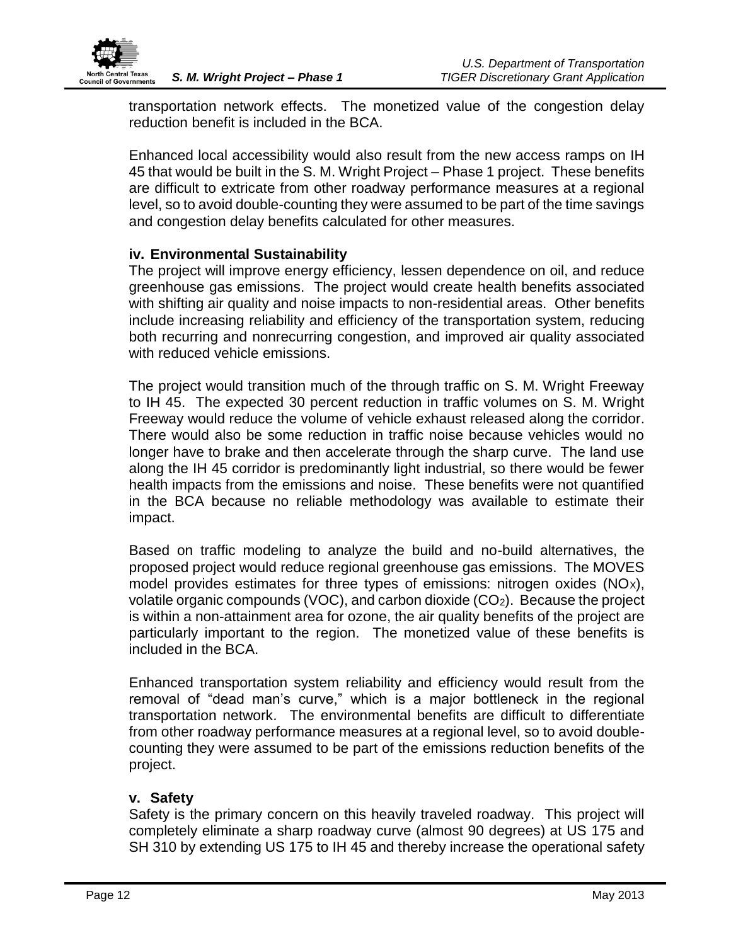

transportation network effects. The monetized value of the congestion delay reduction benefit is included in the BCA.

Enhanced local accessibility would also result from the new access ramps on IH 45 that would be built in the S. M. Wright Project – Phase 1 project. These benefits are difficult to extricate from other roadway performance measures at a regional level, so to avoid double-counting they were assumed to be part of the time savings and congestion delay benefits calculated for other measures.

# <span id="page-17-0"></span>**iv. Environmental Sustainability**

The project will improve energy efficiency, lessen dependence on oil, and reduce greenhouse gas emissions. The project would create health benefits associated with shifting air quality and noise impacts to non-residential areas. Other benefits include increasing reliability and efficiency of the transportation system, reducing both recurring and nonrecurring congestion, and improved air quality associated with reduced vehicle emissions.

The project would transition much of the through traffic on S. M. Wright Freeway to IH 45. The expected 30 percent reduction in traffic volumes on S. M. Wright Freeway would reduce the volume of vehicle exhaust released along the corridor. There would also be some reduction in traffic noise because vehicles would no longer have to brake and then accelerate through the sharp curve. The land use along the IH 45 corridor is predominantly light industrial, so there would be fewer health impacts from the emissions and noise. These benefits were not quantified in the BCA because no reliable methodology was available to estimate their impact.

Based on traffic modeling to analyze the build and no-build alternatives, the proposed project would reduce regional greenhouse gas emissions. The MOVES model provides estimates for three types of emissions: nitrogen oxides  $(NOx)$ , volatile organic compounds (VOC), and carbon dioxide  $(CO<sub>2</sub>)$ . Because the project is within a non-attainment area for ozone, the air quality benefits of the project are particularly important to the region. The monetized value of these benefits is included in the BCA.

Enhanced transportation system reliability and efficiency would result from the removal of "dead man's curve," which is a major bottleneck in the regional transportation network. The environmental benefits are difficult to differentiate from other roadway performance measures at a regional level, so to avoid doublecounting they were assumed to be part of the emissions reduction benefits of the project.

# <span id="page-17-1"></span>**v. Safety**

Safety is the primary concern on this heavily traveled roadway. This project will completely eliminate a sharp roadway curve (almost 90 degrees) at US 175 and SH 310 by extending US 175 to IH 45 and thereby increase the operational safety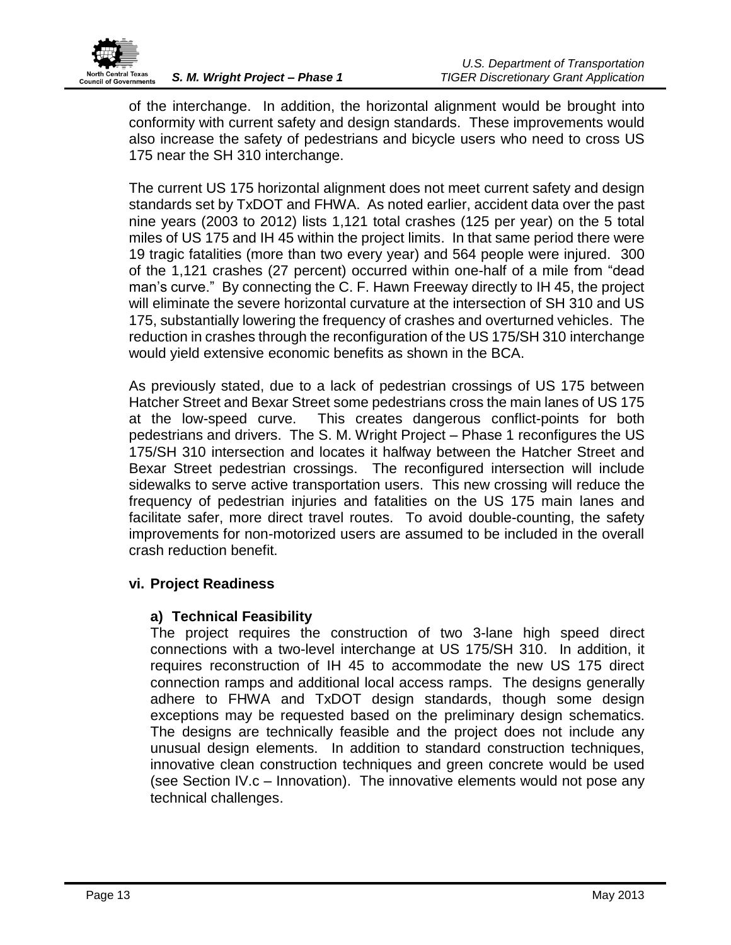

of the interchange. In addition, the horizontal alignment would be brought into conformity with current safety and design standards. These improvements would also increase the safety of pedestrians and bicycle users who need to cross US 175 near the SH 310 interchange.

The current US 175 horizontal alignment does not meet current safety and design standards set by TxDOT and FHWA. As noted earlier, accident data over the past nine years (2003 to 2012) lists 1,121 total crashes (125 per year) on the 5 total miles of US 175 and IH 45 within the project limits. In that same period there were 19 tragic fatalities (more than two every year) and 564 people were injured. 300 of the 1,121 crashes (27 percent) occurred within one-half of a mile from "dead man's curve." By connecting the C. F. Hawn Freeway directly to IH 45, the project will eliminate the severe horizontal curvature at the intersection of SH 310 and US 175, substantially lowering the frequency of crashes and overturned vehicles. The reduction in crashes through the reconfiguration of the US 175/SH 310 interchange would yield extensive economic benefits as shown in the BCA.

As previously stated, due to a lack of pedestrian crossings of US 175 between Hatcher Street and Bexar Street some pedestrians cross the main lanes of US 175 at the low-speed curve. This creates dangerous conflict-points for both pedestrians and drivers. The S. M. Wright Project – Phase 1 reconfigures the US 175/SH 310 intersection and locates it halfway between the Hatcher Street and Bexar Street pedestrian crossings. The reconfigured intersection will include sidewalks to serve active transportation users. This new crossing will reduce the frequency of pedestrian injuries and fatalities on the US 175 main lanes and facilitate safer, more direct travel routes. To avoid double-counting, the safety improvements for non-motorized users are assumed to be included in the overall crash reduction benefit.

# <span id="page-18-1"></span><span id="page-18-0"></span>**vi. Project Readiness**

# **a) Technical Feasibility**

The project requires the construction of two 3-lane high speed direct connections with a two-level interchange at US 175/SH 310. In addition, it requires reconstruction of IH 45 to accommodate the new US 175 direct connection ramps and additional local access ramps. The designs generally adhere to FHWA and TxDOT design standards, though some design exceptions may be requested based on the preliminary design schematics. The designs are technically feasible and the project does not include any unusual design elements. In addition to standard construction techniques, innovative clean construction techniques and green concrete would be used (see Section IV.c – Innovation). The innovative elements would not pose any technical challenges.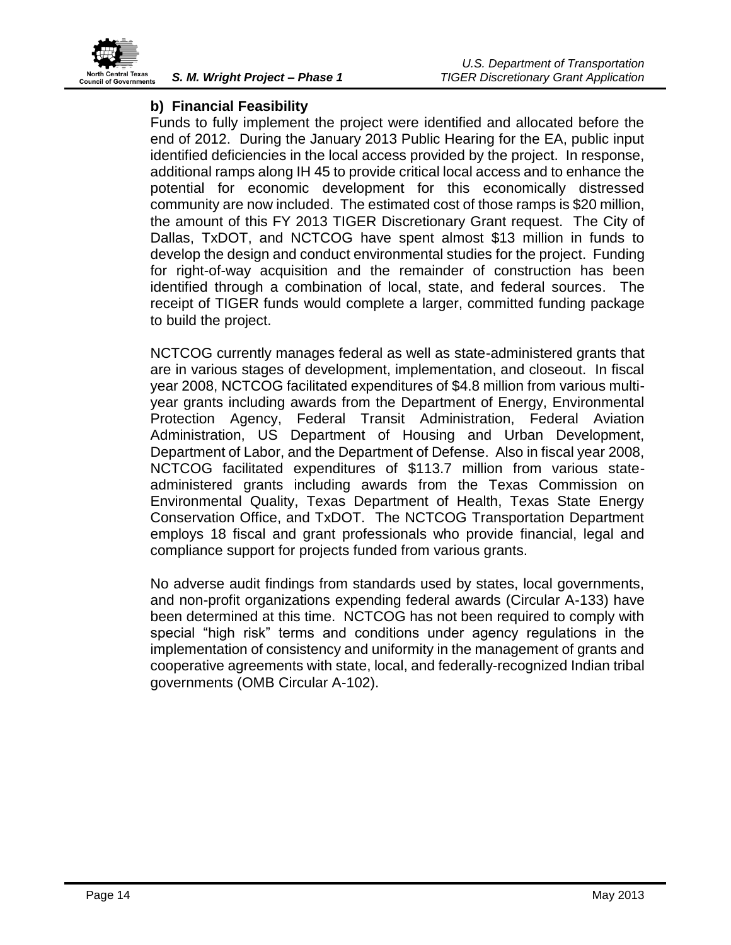<span id="page-19-0"></span>

# **b) Financial Feasibility**

Funds to fully implement the project were identified and allocated before the end of 2012. During the January 2013 Public Hearing for the EA, public input identified deficiencies in the local access provided by the project. In response, additional ramps along IH 45 to provide critical local access and to enhance the potential for economic development for this economically distressed community are now included. The estimated cost of those ramps is \$20 million, the amount of this FY 2013 TIGER Discretionary Grant request. The City of Dallas, TxDOT, and NCTCOG have spent almost \$13 million in funds to develop the design and conduct environmental studies for the project. Funding for right-of-way acquisition and the remainder of construction has been identified through a combination of local, state, and federal sources. The receipt of TIGER funds would complete a larger, committed funding package to build the project.

NCTCOG currently manages federal as well as state-administered grants that are in various stages of development, implementation, and closeout. In fiscal year 2008, NCTCOG facilitated expenditures of \$4.8 million from various multiyear grants including awards from the Department of Energy, Environmental Protection Agency, Federal Transit Administration, Federal Aviation Administration, US Department of Housing and Urban Development, Department of Labor, and the Department of Defense. Also in fiscal year 2008, NCTCOG facilitated expenditures of \$113.7 million from various stateadministered grants including awards from the Texas Commission on Environmental Quality, Texas Department of Health, Texas State Energy Conservation Office, and TxDOT. The NCTCOG Transportation Department employs 18 fiscal and grant professionals who provide financial, legal and compliance support for projects funded from various grants.

No adverse audit findings from standards used by states, local governments, and non-profit organizations expending federal awards (Circular A-133) have been determined at this time. NCTCOG has not been required to comply with special "high risk" terms and conditions under agency regulations in the implementation of consistency and uniformity in the management of grants and cooperative agreements with state, local, and federally-recognized Indian tribal governments (OMB Circular A-102).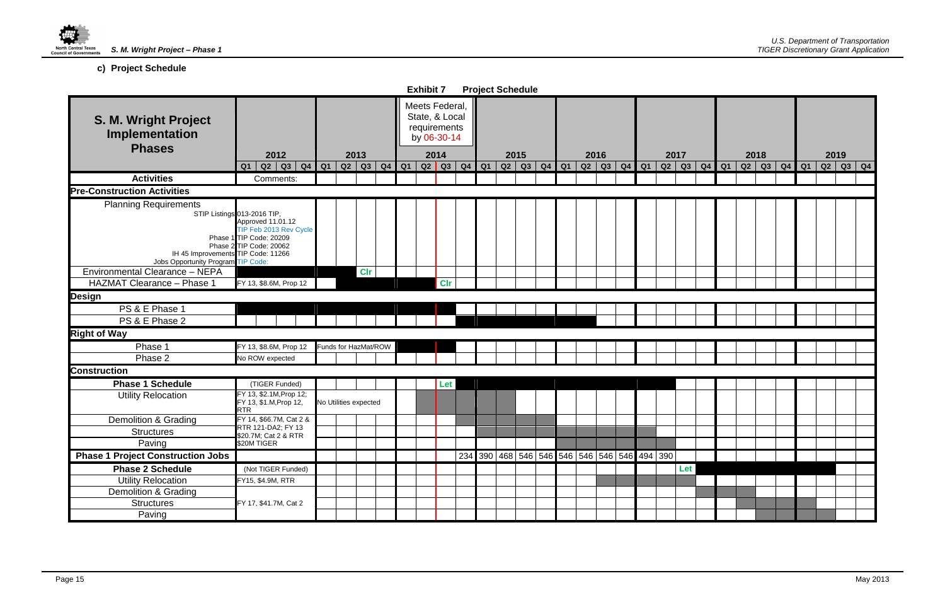



**c) Project Schedule**

<span id="page-20-1"></span><span id="page-20-0"></span>

|                                                                                                                                                                                                                                        |                        |                   |                                                   |    |                       |  | <b>Exhibit 7</b>                                                |            |             | <b>Project Schedule</b> |      |                                                                  |  |      |                                         |  |      |  |      |             |  |                                                 |  |
|----------------------------------------------------------------------------------------------------------------------------------------------------------------------------------------------------------------------------------------|------------------------|-------------------|---------------------------------------------------|----|-----------------------|--|-----------------------------------------------------------------|------------|-------------|-------------------------|------|------------------------------------------------------------------|--|------|-----------------------------------------|--|------|--|------|-------------|--|-------------------------------------------------|--|
| S. M. Wright Project<br>Implementation                                                                                                                                                                                                 |                        |                   |                                                   |    |                       |  | Meets Federal,<br>State, & Local<br>requirements<br>by 06-30-14 |            |             |                         |      |                                                                  |  |      |                                         |  |      |  |      |             |  |                                                 |  |
| <b>Phases</b>                                                                                                                                                                                                                          |                        | 2012              |                                                   |    | 2013                  |  | 2014                                                            |            |             |                         | 2015 |                                                                  |  | 2016 |                                         |  | 2017 |  | 2018 |             |  | 2019                                            |  |
|                                                                                                                                                                                                                                        | Q <sub>1</sub>         |                   | $Q2$ $Q3$ $Q4$                                    | Q1 | Q2   Q3   Q4          |  |                                                                 |            | Q1 Q2 Q3 Q4 |                         |      | $\boxed{Q1}$ $\boxed{Q2}$ $\boxed{Q3}$ $\boxed{Q4}$ $\boxed{Q1}$ |  |      | $Q2$ $Q3$ $Q4$ $Q1$ $Q2$ $Q3$ $Q4$ $Q1$ |  |      |  |      | Q2 Q3 Q4 Q1 |  | $\overline{Q2}$ $\overline{Q3}$ $\overline{Q4}$ |  |
| <b>Activities</b>                                                                                                                                                                                                                      |                        | Comments:         |                                                   |    |                       |  |                                                                 |            |             |                         |      |                                                                  |  |      |                                         |  |      |  |      |             |  |                                                 |  |
| <b>Pre-Construction Activities</b>                                                                                                                                                                                                     |                        |                   |                                                   |    |                       |  |                                                                 |            |             |                         |      |                                                                  |  |      |                                         |  |      |  |      |             |  |                                                 |  |
| <b>Planning Requirements</b><br>STIP Listings 013-2016 TIP,<br>Phase 1 TIP Code: 20209<br>Phase 2 TIP Code: 20062<br>IH 45 Improvements TIP Code: 11266<br>Jobs Opportunity Program TIP Code:<br><b>Environmental Clearance - NEPA</b> |                        | Approved 11.01.12 | TIP Feb 2013 Rev Cycle                            |    | <b>CIr</b>            |  |                                                                 |            |             |                         |      |                                                                  |  |      |                                         |  |      |  |      |             |  |                                                 |  |
| <b>HAZMAT Clearance - Phase 1</b>                                                                                                                                                                                                      | FY 13, \$8.6M, Prop 12 |                   |                                                   |    |                       |  |                                                                 | <b>CIr</b> |             |                         |      |                                                                  |  |      |                                         |  |      |  |      |             |  |                                                 |  |
| <b>Design</b>                                                                                                                                                                                                                          |                        |                   |                                                   |    |                       |  |                                                                 |            |             |                         |      |                                                                  |  |      |                                         |  |      |  |      |             |  |                                                 |  |
| PS & E Phase 1                                                                                                                                                                                                                         |                        |                   |                                                   |    |                       |  |                                                                 |            |             |                         |      |                                                                  |  |      |                                         |  |      |  |      |             |  |                                                 |  |
| PS & E Phase 2                                                                                                                                                                                                                         |                        |                   |                                                   |    |                       |  |                                                                 |            |             |                         |      |                                                                  |  |      |                                         |  |      |  |      |             |  |                                                 |  |
| <b>Right of Way</b>                                                                                                                                                                                                                    |                        |                   |                                                   |    |                       |  |                                                                 |            |             |                         |      |                                                                  |  |      |                                         |  |      |  |      |             |  |                                                 |  |
| Phase 1                                                                                                                                                                                                                                |                        |                   | FY 13, \$8.6M, Prop 12                            |    | Funds for HazMat/ROW  |  |                                                                 |            |             |                         |      |                                                                  |  |      |                                         |  |      |  |      |             |  |                                                 |  |
| Phase 2                                                                                                                                                                                                                                |                        | No ROW expected   |                                                   |    |                       |  |                                                                 |            |             |                         |      |                                                                  |  |      |                                         |  |      |  |      |             |  |                                                 |  |
| <b>Construction</b>                                                                                                                                                                                                                    |                        |                   |                                                   |    |                       |  |                                                                 |            |             |                         |      |                                                                  |  |      |                                         |  |      |  |      |             |  |                                                 |  |
| <b>Phase 1 Schedule</b>                                                                                                                                                                                                                |                        |                   | (TIGER Funded)                                    |    |                       |  |                                                                 | Let        |             |                         |      |                                                                  |  |      |                                         |  |      |  |      |             |  |                                                 |  |
| <b>Utility Relocation</b>                                                                                                                                                                                                              | <b>RTR</b>             |                   | FY 13, \$2.1M, Prop 12;<br>FY 13, \$1.M, Prop 12, |    | No Utilities expected |  |                                                                 |            |             |                         |      |                                                                  |  |      |                                         |  |      |  |      |             |  |                                                 |  |
| <b>Demolition &amp; Grading</b>                                                                                                                                                                                                        |                        |                   | FY 14, \$66.7M, Cat 2 &                           |    |                       |  |                                                                 |            |             |                         |      |                                                                  |  |      |                                         |  |      |  |      |             |  |                                                 |  |
| <b>Structures</b>                                                                                                                                                                                                                      | \$20.7M; Cat 2 & RTR   |                   | RTR 121-DA2; FY 13                                |    |                       |  |                                                                 |            |             |                         |      |                                                                  |  |      |                                         |  |      |  |      |             |  |                                                 |  |
| Paving                                                                                                                                                                                                                                 | \$20M TIGER            |                   |                                                   |    |                       |  |                                                                 |            |             |                         |      |                                                                  |  |      |                                         |  |      |  |      |             |  |                                                 |  |
| <b>Phase 1 Project Construction Jobs</b>                                                                                                                                                                                               |                        |                   |                                                   |    |                       |  |                                                                 |            |             |                         |      | 234 390 468 546 546 546 546 546 546 546 494 390                  |  |      |                                         |  |      |  |      |             |  |                                                 |  |
| <b>Phase 2 Schedule</b>                                                                                                                                                                                                                |                        |                   | (Not TIGER Funded)                                |    |                       |  |                                                                 |            |             |                         |      |                                                                  |  |      |                                         |  | Let  |  |      |             |  |                                                 |  |
| <b>Utility Relocation</b>                                                                                                                                                                                                              |                        | FY15, \$4.9M, RTR |                                                   |    |                       |  |                                                                 |            |             |                         |      |                                                                  |  |      |                                         |  |      |  |      |             |  |                                                 |  |
| Demolition & Grading                                                                                                                                                                                                                   |                        |                   |                                                   |    |                       |  |                                                                 |            |             |                         |      |                                                                  |  |      |                                         |  |      |  |      |             |  |                                                 |  |
| <b>Structures</b>                                                                                                                                                                                                                      |                        |                   | FY 17, \$41.7M, Cat 2                             |    |                       |  |                                                                 |            |             |                         |      |                                                                  |  |      |                                         |  |      |  |      |             |  |                                                 |  |
| Paving                                                                                                                                                                                                                                 |                        |                   |                                                   |    |                       |  |                                                                 |            |             |                         |      |                                                                  |  |      |                                         |  |      |  |      |             |  |                                                 |  |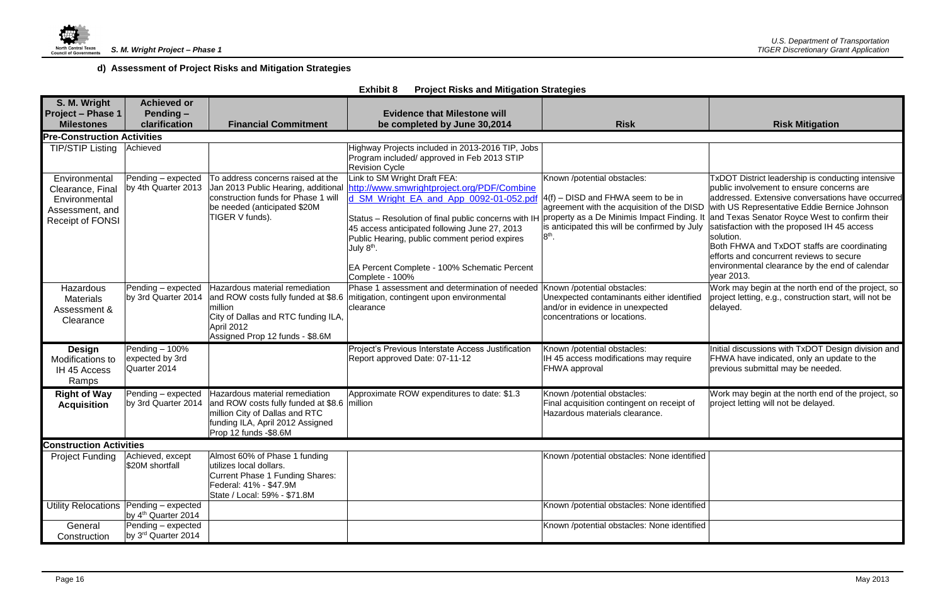

# **d) Assessment of Project Risks and Mitigation Strategies**

<span id="page-21-1"></span><span id="page-21-0"></span>

|                                                                                                  |                                                                           |                                                                                                                                                                              | <b>Exhibit 8</b><br><b>Project Risks and Mitigation Strategies</b>                                                                                                                                                                                                                                                                                                          |                                                                                                                                                                                                                              |                                                                                                                                                                                                                                                                                                                                                                                                                                                                             |
|--------------------------------------------------------------------------------------------------|---------------------------------------------------------------------------|------------------------------------------------------------------------------------------------------------------------------------------------------------------------------|-----------------------------------------------------------------------------------------------------------------------------------------------------------------------------------------------------------------------------------------------------------------------------------------------------------------------------------------------------------------------------|------------------------------------------------------------------------------------------------------------------------------------------------------------------------------------------------------------------------------|-----------------------------------------------------------------------------------------------------------------------------------------------------------------------------------------------------------------------------------------------------------------------------------------------------------------------------------------------------------------------------------------------------------------------------------------------------------------------------|
| S. M. Wright<br><b>Project - Phase 1</b>                                                         | <b>Achieved or</b><br><b>Pending -</b>                                    |                                                                                                                                                                              | <b>Evidence that Milestone will</b>                                                                                                                                                                                                                                                                                                                                         |                                                                                                                                                                                                                              |                                                                                                                                                                                                                                                                                                                                                                                                                                                                             |
| <b>Milestones</b>                                                                                | clarification                                                             | <b>Financial Commitment</b>                                                                                                                                                  | be completed by June 30,2014                                                                                                                                                                                                                                                                                                                                                | <b>Risk</b>                                                                                                                                                                                                                  | <b>Risk Mitigation</b>                                                                                                                                                                                                                                                                                                                                                                                                                                                      |
| <b>Pre-Construction Activities</b>                                                               |                                                                           |                                                                                                                                                                              |                                                                                                                                                                                                                                                                                                                                                                             |                                                                                                                                                                                                                              |                                                                                                                                                                                                                                                                                                                                                                                                                                                                             |
| <b>TIP/STIP Listing</b>                                                                          | Achieved                                                                  |                                                                                                                                                                              | Highway Projects included in 2013-2016 TIP, Jobs<br>Program included/ approved in Feb 2013 STIP<br><b>Revision Cycle</b>                                                                                                                                                                                                                                                    |                                                                                                                                                                                                                              |                                                                                                                                                                                                                                                                                                                                                                                                                                                                             |
| Environmental<br>Clearance, Final<br>Environmental<br>Assessment, and<br><b>Receipt of FONSI</b> | Pending - expected<br>by 4th Quarter 2013                                 | To address concerns raised at the<br>Jan 2013 Public Hearing, additional<br>construction funds for Phase 1 will<br>be needed (anticipated \$20M<br>TIGER V funds).           | Link to SM Wright Draft FEA:<br>http://www.smwrightproject.org/PDF/Combine<br>d_SM_Wright_EA_and_App_0092-01-052.pdf<br>Status - Resolution of final public concerns with IH<br>45 access anticipated following June 27, 2013<br>Public Hearing, public comment period expires<br>July 8 <sup>th</sup> .<br>EA Percent Complete - 100% Schematic Percent<br>Complete - 100% | Known /potential obstacles:<br>$4(f)$ – DISD and FHWA seem to be in<br>agreement with the acquisition of the DISD<br>property as a De Minimis Impact Finding. It<br>is anticipated this will be confirmed by July<br>$8th$ . | TxDOT District leadership is conducting intensive<br>public involvement to ensure concerns are<br>addressed. Extensive conversations have occurred<br>with US Representative Eddie Bernice Johnson<br>and Texas Senator Royce West to confirm their<br>satisfaction with the proposed IH 45 access<br>solution.<br>Both FHWA and TxDOT staffs are coordinating<br>lefforts and concurrent reviews to secure<br>environmental clearance by the end of calendar<br>year 2013. |
| Hazardous<br><b>Materials</b><br>Assessment &<br>Clearance                                       | Pending - expected<br>by 3rd Quarter 2014                                 | Hazardous material remediation<br>and ROW costs fully funded at \$8.6<br>million<br>City of Dallas and RTC funding ILA,<br>April 2012<br>Assigned Prop 12 funds - \$8.6M     | Phase 1 assessment and determination of needed<br>mitigation, contingent upon environmental<br>clearance                                                                                                                                                                                                                                                                    | Known /potential obstacles:<br>Unexpected contaminants either identified<br>and/or in evidence in unexpected<br>concentrations or locations.                                                                                 | Work may begin at the north end of the project, so<br>project letting, e.g., construction start, will not be<br>delayed.                                                                                                                                                                                                                                                                                                                                                    |
| <b>Design</b><br>Modifications to<br>IH 45 Access<br>Ramps                                       | Pending - 100%<br>expected by 3rd<br>Quarter 2014                         |                                                                                                                                                                              | Project's Previous Interstate Access Justification<br>Report approved Date: 07-11-12                                                                                                                                                                                                                                                                                        | Known /potential obstacles:<br>IH 45 access modifications may require<br>FHWA approval                                                                                                                                       | Initial discussions with TxDOT Design division and<br>FHWA have indicated, only an update to the<br>previous submittal may be needed.                                                                                                                                                                                                                                                                                                                                       |
| <b>Right of Way</b><br><b>Acquisition</b>                                                        | Pending - expected<br>by 3rd Quarter 2014                                 | Hazardous material remediation<br>and ROW costs fully funded at \$8.6 million<br>million City of Dallas and RTC<br>funding ILA, April 2012 Assigned<br>Prop 12 funds -\$8.6M | Approximate ROW expenditures to date: \$1.3                                                                                                                                                                                                                                                                                                                                 | Known /potential obstacles:<br>Final acquisition contingent on receipt of<br>Hazardous materials clearance.                                                                                                                  | Work may begin at the north end of the project, so<br>project letting will not be delayed.                                                                                                                                                                                                                                                                                                                                                                                  |
| <b>Construction Activities</b>                                                                   |                                                                           |                                                                                                                                                                              |                                                                                                                                                                                                                                                                                                                                                                             |                                                                                                                                                                                                                              |                                                                                                                                                                                                                                                                                                                                                                                                                                                                             |
| <b>Project Funding</b>                                                                           | Achieved, except<br>\$20M shortfall                                       | Almost 60% of Phase 1 funding<br>utilizes local dollars.<br><b>Current Phase 1 Funding Shares:</b><br>Federal: 41% - \$47.9M<br>State / Local: 59% - \$71.8M                 |                                                                                                                                                                                                                                                                                                                                                                             | Known /potential obstacles: None identified                                                                                                                                                                                  |                                                                                                                                                                                                                                                                                                                                                                                                                                                                             |
|                                                                                                  | Utility Relocations Pending - expected<br>by 4 <sup>th</sup> Quarter 2014 |                                                                                                                                                                              |                                                                                                                                                                                                                                                                                                                                                                             | Known /potential obstacles: None identified                                                                                                                                                                                  |                                                                                                                                                                                                                                                                                                                                                                                                                                                                             |
| General<br>Construction                                                                          | Pending - expected<br>by 3rd Quarter 2014                                 |                                                                                                                                                                              |                                                                                                                                                                                                                                                                                                                                                                             | Known /potential obstacles: None identified                                                                                                                                                                                  |                                                                                                                                                                                                                                                                                                                                                                                                                                                                             |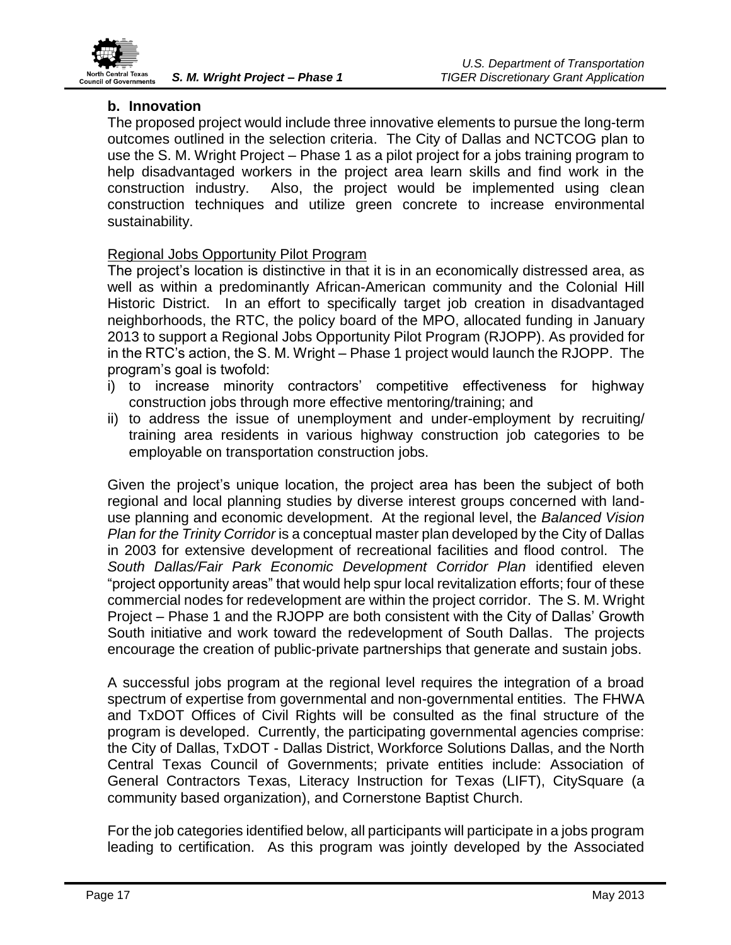

# <span id="page-22-0"></span>**b. Innovation**

The proposed project would include three innovative elements to pursue the long-term outcomes outlined in the selection criteria. The City of Dallas and NCTCOG plan to use the S. M. Wright Project – Phase 1 as a pilot project for a jobs training program to help disadvantaged workers in the project area learn skills and find work in the construction industry. Also, the project would be implemented using clean construction techniques and utilize green concrete to increase environmental sustainability.

# Regional Jobs Opportunity Pilot Program

The project's location is distinctive in that it is in an economically distressed area, as well as within a predominantly African-American community and the Colonial Hill Historic District. In an effort to specifically target job creation in disadvantaged neighborhoods, the RTC, the policy board of the MPO, allocated funding in January 2013 to support a Regional Jobs Opportunity Pilot Program (RJOPP). As provided for in the RTC's action, the S. M. Wright – Phase 1 project would launch the RJOPP. The program's goal is twofold:

- i) to increase minority contractors' competitive effectiveness for highway construction jobs through more effective mentoring/training; and
- ii) to address the issue of unemployment and under-employment by recruiting/ training area residents in various highway construction job categories to be employable on transportation construction jobs.

Given the project's unique location, the project area has been the subject of both regional and local planning studies by diverse interest groups concerned with landuse planning and economic development. At the regional level, the *Balanced Vision Plan for the Trinity Corridor* is a conceptual master plan developed by the City of Dallas in 2003 for extensive development of recreational facilities and flood control. The *South Dallas/Fair Park Economic Development Corridor Plan* identified eleven "project opportunity areas" that would help spur local revitalization efforts; four of these commercial nodes for redevelopment are within the project corridor. The S. M. Wright Project – Phase 1 and the RJOPP are both consistent with the City of Dallas' Growth South initiative and work toward the redevelopment of South Dallas. The projects encourage the creation of public-private partnerships that generate and sustain jobs.

A successful jobs program at the regional level requires the integration of a broad spectrum of expertise from governmental and non-governmental entities. The FHWA and TxDOT Offices of Civil Rights will be consulted as the final structure of the program is developed. Currently, the participating governmental agencies comprise: the City of Dallas, TxDOT - Dallas District, Workforce Solutions Dallas, and the North Central Texas Council of Governments; private entities include: Association of General Contractors Texas, Literacy Instruction for Texas (LIFT), CitySquare (a community based organization), and Cornerstone Baptist Church.

For the job categories identified below, all participants will participate in a jobs program leading to certification. As this program was jointly developed by the Associated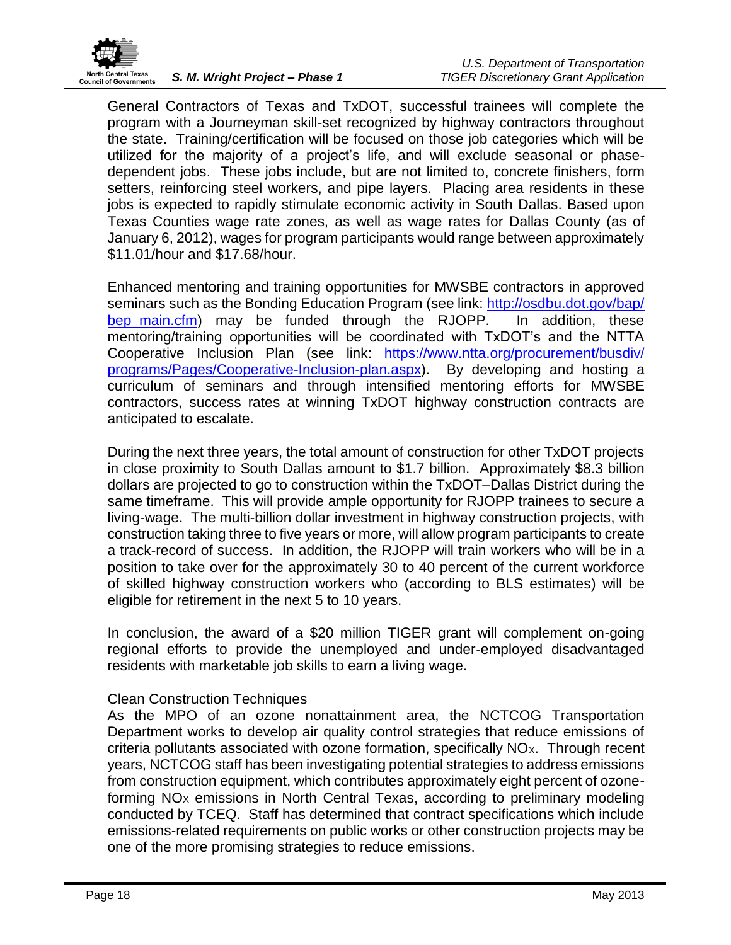

General Contractors of Texas and TxDOT, successful trainees will complete the program with a Journeyman skill-set recognized by highway contractors throughout the state. Training/certification will be focused on those job categories which will be utilized for the majority of a project's life, and will exclude seasonal or phasedependent jobs. These jobs include, but are not limited to, concrete finishers, form setters, reinforcing steel workers, and pipe layers. Placing area residents in these jobs is expected to rapidly stimulate economic activity in South Dallas. Based upon Texas Counties wage rate zones, as well as wage rates for Dallas County (as of January 6, 2012), wages for program participants would range between approximately \$11.01/hour and \$17.68/hour.

Enhanced mentoring and training opportunities for MWSBE contractors in approved seminars such as the Bonding Education Program (see link: http://osdbu.dot.gov/bap/ [bep\\_main.cfm\)](http://osdbu.dot.gov/bap/%20bep_main.cfm) may be funded through the RJOPP. In addition, these mentoring/training opportunities will be coordinated with TxDOT's and the NTTA Cooperative Inclusion Plan (see link: https://www.ntta.org/procurement/busdiv/ [programs/Pages/Cooperative-Inclusion-plan.aspx\)](https://www.ntta.org/procurement/busdiv/%20programs/Pages/Cooperative-Inclusion-plan.aspx). By developing and hosting a curriculum of seminars and through intensified mentoring efforts for MWSBE contractors, success rates at winning TxDOT highway construction contracts are anticipated to escalate.

During the next three years, the total amount of construction for other TxDOT projects in close proximity to South Dallas amount to \$1.7 billion. Approximately \$8.3 billion dollars are projected to go to construction within the TxDOT–Dallas District during the same timeframe. This will provide ample opportunity for RJOPP trainees to secure a living-wage. The multi-billion dollar investment in highway construction projects, with construction taking three to five years or more, will allow program participants to create a track-record of success. In addition, the RJOPP will train workers who will be in a position to take over for the approximately 30 to 40 percent of the current workforce of skilled highway construction workers who (according to BLS estimates) will be eligible for retirement in the next 5 to 10 years.

In conclusion, the award of a \$20 million TIGER grant will complement on-going regional efforts to provide the unemployed and under-employed disadvantaged residents with marketable job skills to earn a living wage.

# Clean Construction Techniques

As the MPO of an ozone nonattainment area, the NCTCOG Transportation Department works to develop air quality control strategies that reduce emissions of criteria pollutants associated with ozone formation, specifically  $NO<sub>x</sub>$ . Through recent years, NCTCOG staff has been investigating potential strategies to address emissions from construction equipment, which contributes approximately eight percent of ozoneforming NO<sub>x</sub> emissions in North Central Texas, according to preliminary modeling conducted by TCEQ. Staff has determined that contract specifications which include emissions-related requirements on public works or other construction projects may be one of the more promising strategies to reduce emissions.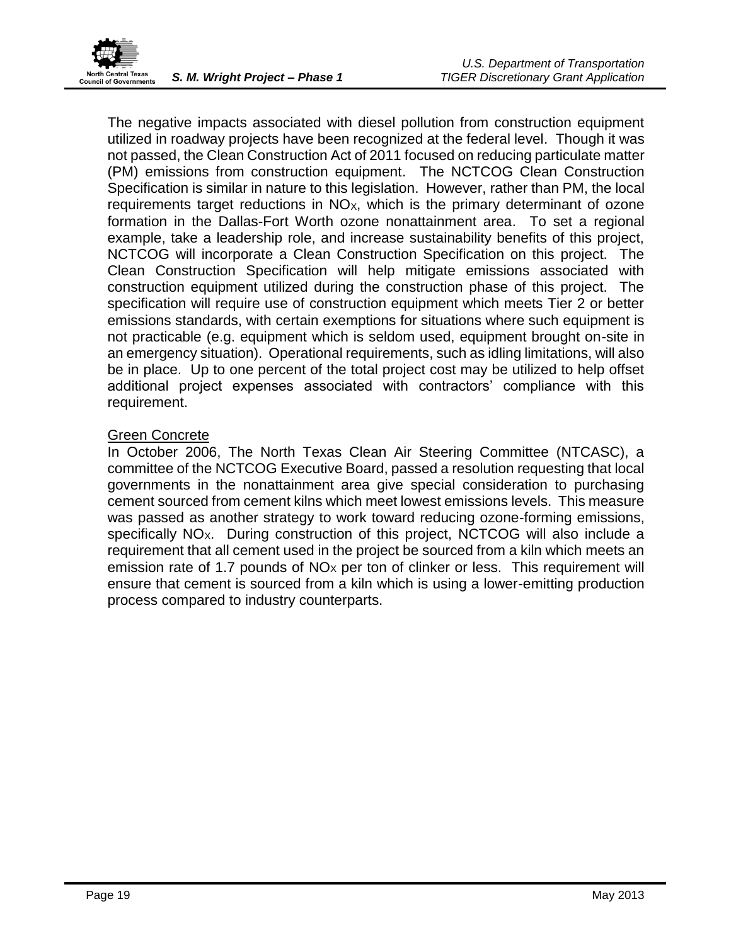

The negative impacts associated with diesel pollution from construction equipment utilized in roadway projects have been recognized at the federal level. Though it was not passed, the Clean Construction Act of 2011 focused on reducing particulate matter (PM) emissions from construction equipment. The NCTCOG Clean Construction Specification is similar in nature to this legislation. However, rather than PM, the local requirements target reductions in  $NO<sub>x</sub>$ , which is the primary determinant of ozone formation in the Dallas-Fort Worth ozone nonattainment area. To set a regional example, take a leadership role, and increase sustainability benefits of this project, NCTCOG will incorporate a Clean Construction Specification on this project. The Clean Construction Specification will help mitigate emissions associated with construction equipment utilized during the construction phase of this project. The specification will require use of construction equipment which meets Tier 2 or better emissions standards, with certain exemptions for situations where such equipment is not practicable (e.g. equipment which is seldom used, equipment brought on-site in an emergency situation). Operational requirements, such as idling limitations, will also be in place. Up to one percent of the total project cost may be utilized to help offset additional project expenses associated with contractors' compliance with this requirement.

# Green Concrete

In October 2006, The North Texas Clean Air Steering Committee (NTCASC), a committee of the NCTCOG Executive Board, passed a resolution requesting that local governments in the nonattainment area give special consideration to purchasing cement sourced from cement kilns which meet lowest emissions levels. This measure was passed as another strategy to work toward reducing ozone-forming emissions, specifically NO<sub>X</sub>. During construction of this project, NCTCOG will also include a requirement that all cement used in the project be sourced from a kiln which meets an emission rate of 1.7 pounds of  $NOx$  per ton of clinker or less. This requirement will ensure that cement is sourced from a kiln which is using a lower-emitting production process compared to industry counterparts.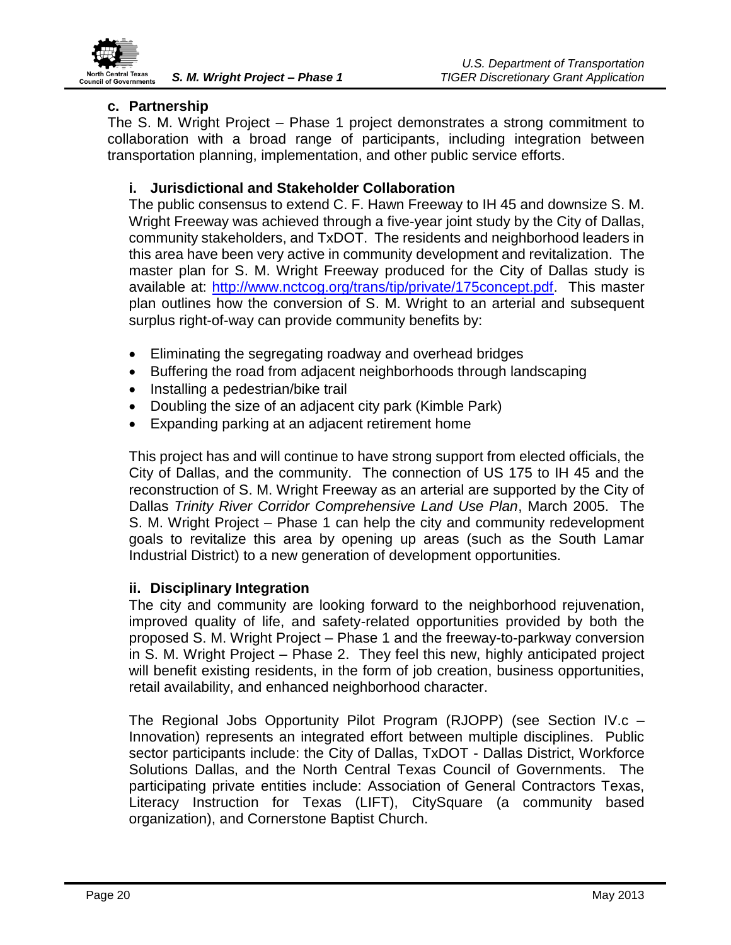

# <span id="page-25-0"></span>**c. Partnership**

The S. M. Wright Project – Phase 1 project demonstrates a strong commitment to collaboration with a broad range of participants, including integration between transportation planning, implementation, and other public service efforts.

# <span id="page-25-1"></span>**i. Jurisdictional and Stakeholder Collaboration**

The public consensus to extend C. F. Hawn Freeway to IH 45 and downsize S. M. Wright Freeway was achieved through a five-year joint study by the City of Dallas, community stakeholders, and TxDOT. The residents and neighborhood leaders in this area have been very active in community development and revitalization. The master plan for S. M. Wright Freeway produced for the City of Dallas study is available at: [http://www.nctcog.org/trans/tip/private/175concept.pdf.](http://www.nctcog.org/trans/tip/private/175concept.pdf) This master plan outlines how the conversion of S. M. Wright to an arterial and subsequent surplus right-of-way can provide community benefits by:

- Eliminating the segregating roadway and overhead bridges
- Buffering the road from adjacent neighborhoods through landscaping
- Installing a pedestrian/bike trail
- Doubling the size of an adjacent city park (Kimble Park)
- Expanding parking at an adjacent retirement home

This project has and will continue to have strong support from elected officials, the City of Dallas, and the community. The connection of US 175 to IH 45 and the reconstruction of S. M. Wright Freeway as an arterial are supported by the City of Dallas *Trinity River Corridor Comprehensive Land Use Plan*, March 2005. The S. M. Wright Project – Phase 1 can help the city and community redevelopment goals to revitalize this area by opening up areas (such as the South Lamar Industrial District) to a new generation of development opportunities.

# <span id="page-25-2"></span>**ii. Disciplinary Integration**

The city and community are looking forward to the neighborhood rejuvenation, improved quality of life, and safety-related opportunities provided by both the proposed S. M. Wright Project – Phase 1 and the freeway-to-parkway conversion in S. M. Wright Project – Phase 2. They feel this new, highly anticipated project will benefit existing residents, in the form of job creation, business opportunities, retail availability, and enhanced neighborhood character.

The Regional Jobs Opportunity Pilot Program (RJOPP) (see Section IV.c – Innovation) represents an integrated effort between multiple disciplines. Public sector participants include: the City of Dallas, TxDOT - Dallas District, Workforce Solutions Dallas, and the North Central Texas Council of Governments. The participating private entities include: Association of General Contractors Texas, Literacy Instruction for Texas (LIFT), CitySquare (a community based organization), and Cornerstone Baptist Church.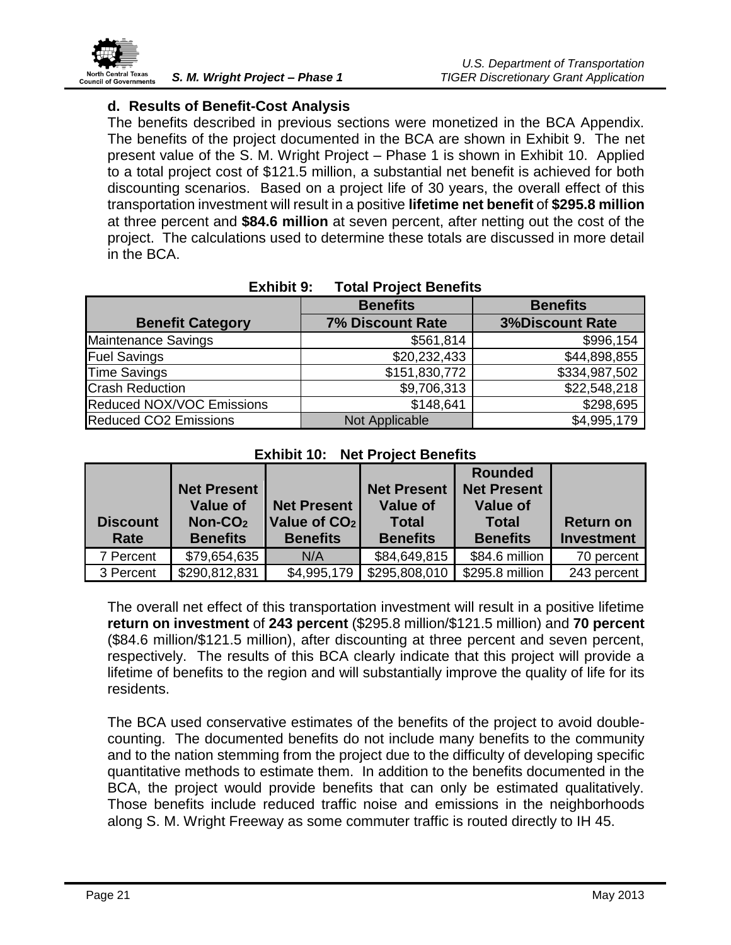

### <span id="page-26-0"></span>**d. Results of Benefit-Cost Analysis**

The benefits described in previous sections were monetized in the BCA Appendix. The benefits of the project documented in the BCA are shown in Exhibit 9. The net present value of the S. M. Wright Project – Phase 1 is shown in Exhibit 10. Applied to a total project cost of \$121.5 million, a substantial net benefit is achieved for both discounting scenarios. Based on a project life of 30 years, the overall effect of this transportation investment will result in a positive **lifetime net benefit** of **\$295.8 million** at three percent and **\$84.6 million** at seven percent, after netting out the cost of the project. The calculations used to determine these totals are discussed in more detail in the BCA.

<span id="page-26-1"></span>

|                              | <b>Benefits</b>         | <b>Benefits</b>        |
|------------------------------|-------------------------|------------------------|
| <b>Benefit Category</b>      | <b>7% Discount Rate</b> | <b>3%Discount Rate</b> |
| Maintenance Savings          | \$561,814               | \$996,154              |
| <b>Fuel Savings</b>          | \$20,232,433            | \$44,898,855           |
| <b>Time Savings</b>          | \$151,830,772           | \$334,987,502          |
| <b>Crash Reduction</b>       | \$9,706,313             | \$22,548,218           |
| Reduced NOX/VOC Emissions    | \$148,641               | \$298,695              |
| <b>Reduced CO2 Emissions</b> | Not Applicable          | \$4,995,179            |

### **Exhibit 9: Total Project Benefits**

### **Exhibit 10: Net Project Benefits**

<span id="page-26-2"></span>

| <b>Discount</b><br>Rate | <b>Net Present</b><br><b>Value of</b><br>$Non-CO2$<br><b>Benefits</b> | <b>Net Present</b><br>Value of CO <sub>2</sub><br><b>Benefits</b> | <b>Net Present</b><br><b>Value of</b><br><b>Total</b><br><b>Benefits</b> | <b>Rounded</b><br><b>Net Present</b><br><b>Value of</b><br><b>Total</b><br><b>Benefits</b> | <b>Return on</b><br><b>Investment</b> |
|-------------------------|-----------------------------------------------------------------------|-------------------------------------------------------------------|--------------------------------------------------------------------------|--------------------------------------------------------------------------------------------|---------------------------------------|
| 7 Percent               | \$79,654,635                                                          | N/A                                                               | \$84,649,815                                                             | \$84.6 million                                                                             | 70 percent                            |
| 3 Percent               | \$290,812,831                                                         | \$4,995,179                                                       | \$295,808,010                                                            | \$295.8 million                                                                            | 243 percent                           |

The overall net effect of this transportation investment will result in a positive lifetime **return on investment** of **243 percent** (\$295.8 million/\$121.5 million) and **70 percent** (\$84.6 million/\$121.5 million), after discounting at three percent and seven percent, respectively. The results of this BCA clearly indicate that this project will provide a lifetime of benefits to the region and will substantially improve the quality of life for its residents.

The BCA used conservative estimates of the benefits of the project to avoid doublecounting. The documented benefits do not include many benefits to the community and to the nation stemming from the project due to the difficulty of developing specific quantitative methods to estimate them. In addition to the benefits documented in the BCA, the project would provide benefits that can only be estimated qualitatively. Those benefits include reduced traffic noise and emissions in the neighborhoods along S. M. Wright Freeway as some commuter traffic is routed directly to IH 45.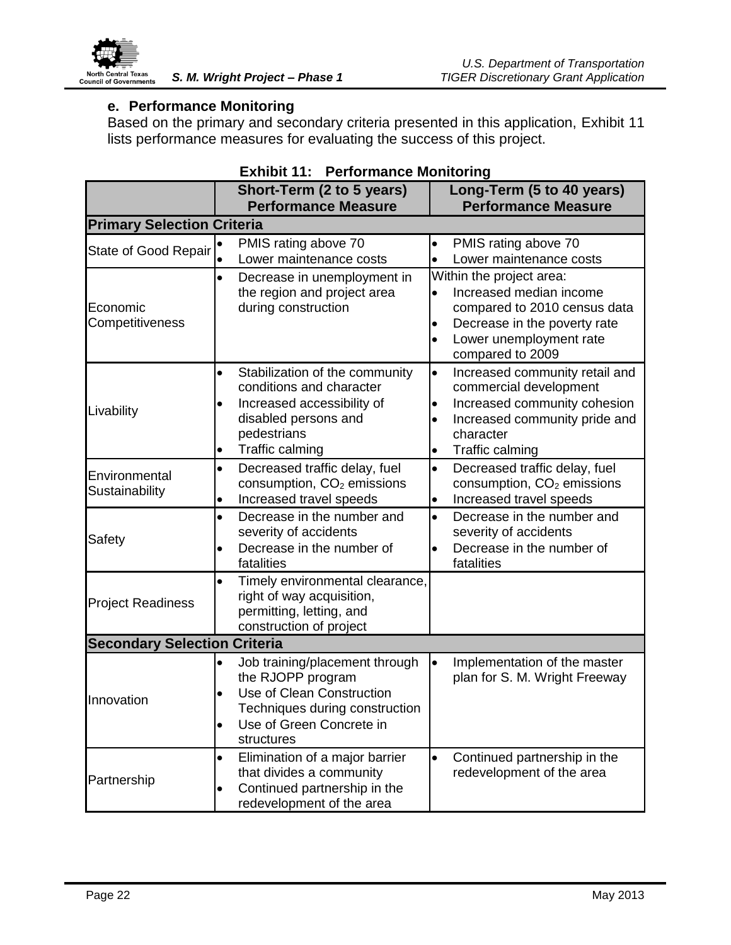

# <span id="page-27-0"></span>**e. Performance Monitoring**

Based on the primary and secondary criteria presented in this application, Exhibit 11 lists performance measures for evaluating the success of this project.

<span id="page-27-1"></span>

|                                     |           | Short-Term (2 to 5 years)<br><b>Performance Measure</b>     |                | Long-Term (5 to 40 years)<br><b>Performance Measure</b> |
|-------------------------------------|-----------|-------------------------------------------------------------|----------------|---------------------------------------------------------|
| <b>Primary Selection Criteria</b>   |           |                                                             |                |                                                         |
| <b>State of Good Repair</b>         |           | PMIS rating above 70                                        | $\bullet$      | PMIS rating above 70                                    |
|                                     | $\bullet$ | Lower maintenance costs                                     | $\bullet$      | Lower maintenance costs                                 |
| Economic<br>Competitiveness         | $\bullet$ | Decrease in unemployment in                                 |                | Within the project area:                                |
|                                     |           | the region and project area                                 | $\bullet$      | Increased median income                                 |
|                                     |           | during construction                                         |                | compared to 2010 census data                            |
|                                     |           |                                                             | $\bullet$      | Decrease in the poverty rate                            |
|                                     |           |                                                             | $\bullet$      | Lower unemployment rate                                 |
|                                     |           |                                                             |                | compared to 2009                                        |
| Livability                          | $\bullet$ | Stabilization of the community<br>conditions and character  | $\bullet$      | Increased community retail and                          |
|                                     |           | Increased accessibility of                                  |                | commercial development<br>Increased community cohesion  |
|                                     |           | disabled persons and                                        | ٠<br>$\bullet$ | Increased community pride and                           |
|                                     |           | pedestrians                                                 |                | character                                               |
|                                     | ٠         | <b>Traffic calming</b>                                      | ٠              | Traffic calming                                         |
| Environmental<br>Sustainability     | $\bullet$ | Decreased traffic delay, fuel                               | $\bullet$      | Decreased traffic delay, fuel                           |
|                                     |           | consumption, CO <sub>2</sub> emissions                      |                | consumption, CO <sub>2</sub> emissions                  |
|                                     | $\bullet$ | Increased travel speeds                                     | ٠              | Increased travel speeds                                 |
| Safety                              | $\bullet$ | Decrease in the number and                                  | $\bullet$      | Decrease in the number and                              |
|                                     |           | severity of accidents                                       |                | severity of accidents                                   |
|                                     | $\bullet$ | Decrease in the number of                                   | $\bullet$      | Decrease in the number of                               |
|                                     |           | fatalities                                                  |                | fatalities                                              |
| <b>Project Readiness</b>            | $\bullet$ | Timely environmental clearance,                             |                |                                                         |
|                                     |           | right of way acquisition,                                   |                |                                                         |
|                                     |           | permitting, letting, and                                    |                |                                                         |
|                                     |           | construction of project                                     |                |                                                         |
| <b>Secondary Selection Criteria</b> |           |                                                             |                |                                                         |
| Innovation                          | $\bullet$ | Job training/placement through                              | $\bullet$      | Implementation of the master                            |
|                                     |           | the RJOPP program                                           |                | plan for S. M. Wright Freeway                           |
|                                     | $\bullet$ | Use of Clean Construction<br>Techniques during construction |                |                                                         |
|                                     | $\bullet$ | Use of Green Concrete in                                    |                |                                                         |
|                                     |           | structures                                                  |                |                                                         |
| Partnership                         | $\bullet$ | Elimination of a major barrier                              | $\bullet$      | Continued partnership in the                            |
|                                     |           | that divides a community                                    |                | redevelopment of the area                               |
|                                     | $\bullet$ | Continued partnership in the                                |                |                                                         |
|                                     |           | redevelopment of the area                                   |                |                                                         |

# **Exhibit 11: Performance Monitoring**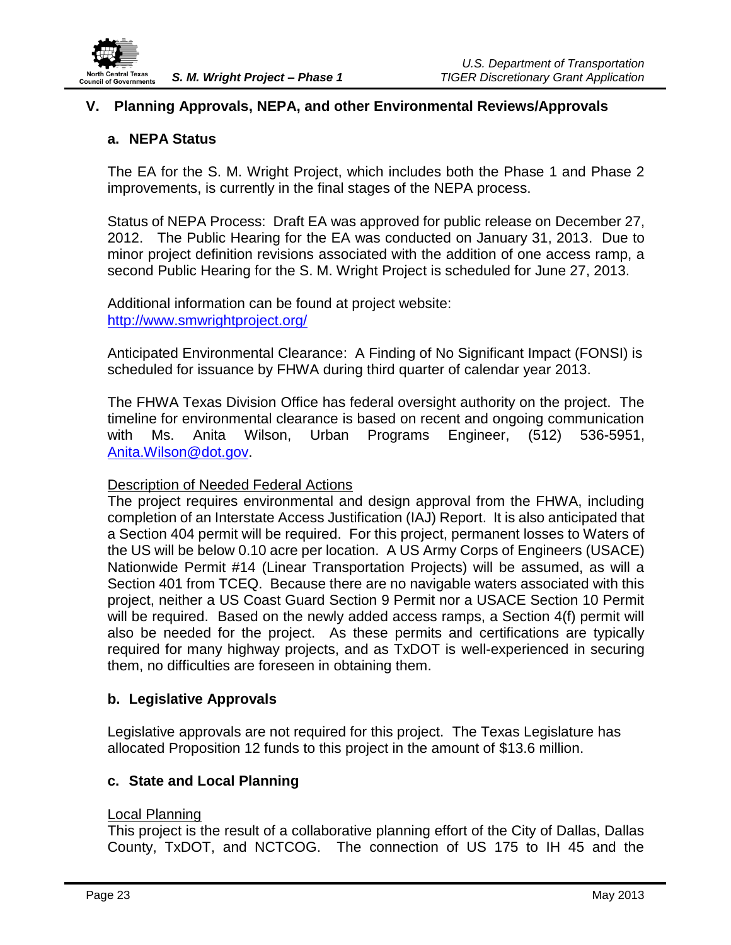

# <span id="page-28-0"></span>**V. Planning Approvals, NEPA, and other Environmental Reviews/Approvals**

### <span id="page-28-1"></span>**a. NEPA Status**

The EA for the S. M. Wright Project, which includes both the Phase 1 and Phase 2 improvements, is currently in the final stages of the NEPA process.

Status of NEPA Process: Draft EA was approved for public release on December 27, 2012. The Public Hearing for the EA was conducted on January 31, 2013. Due to minor project definition revisions associated with the addition of one access ramp, a second Public Hearing for the S. M. Wright Project is scheduled for June 27, 2013.

Additional information can be found at project website: <http://www.smwrightproject.org/>

Anticipated Environmental Clearance: A Finding of No Significant Impact (FONSI) is scheduled for issuance by FHWA during third quarter of calendar year 2013.

The FHWA Texas Division Office has federal oversight authority on the project. The timeline for environmental clearance is based on recent and ongoing communication with Ms. Anita Wilson, Urban Programs Engineer, (512) 536-5951, [Anita.Wilson@dot.gov.](mailto:Anita.Wilson@dot.gov)

### Description of Needed Federal Actions

The project requires environmental and design approval from the FHWA, including completion of an Interstate Access Justification (IAJ) Report. It is also anticipated that a Section 404 permit will be required. For this project, permanent losses to Waters of the US will be below 0.10 acre per location. A US Army Corps of Engineers (USACE) Nationwide Permit #14 (Linear Transportation Projects) will be assumed, as will a Section 401 from TCEQ. Because there are no navigable waters associated with this project, neither a US Coast Guard Section 9 Permit nor a USACE Section 10 Permit will be required. Based on the newly added access ramps, a Section 4(f) permit will also be needed for the project. As these permits and certifications are typically required for many highway projects, and as TxDOT is well-experienced in securing them, no difficulties are foreseen in obtaining them.

# <span id="page-28-2"></span>**b. Legislative Approvals**

Legislative approvals are not required for this project. The Texas Legislature has allocated Proposition 12 funds to this project in the amount of \$13.6 million.

### <span id="page-28-3"></span>**c. State and Local Planning**

### Local Planning

This project is the result of a collaborative planning effort of the City of Dallas, Dallas County, TxDOT, and NCTCOG. The connection of US 175 to IH 45 and the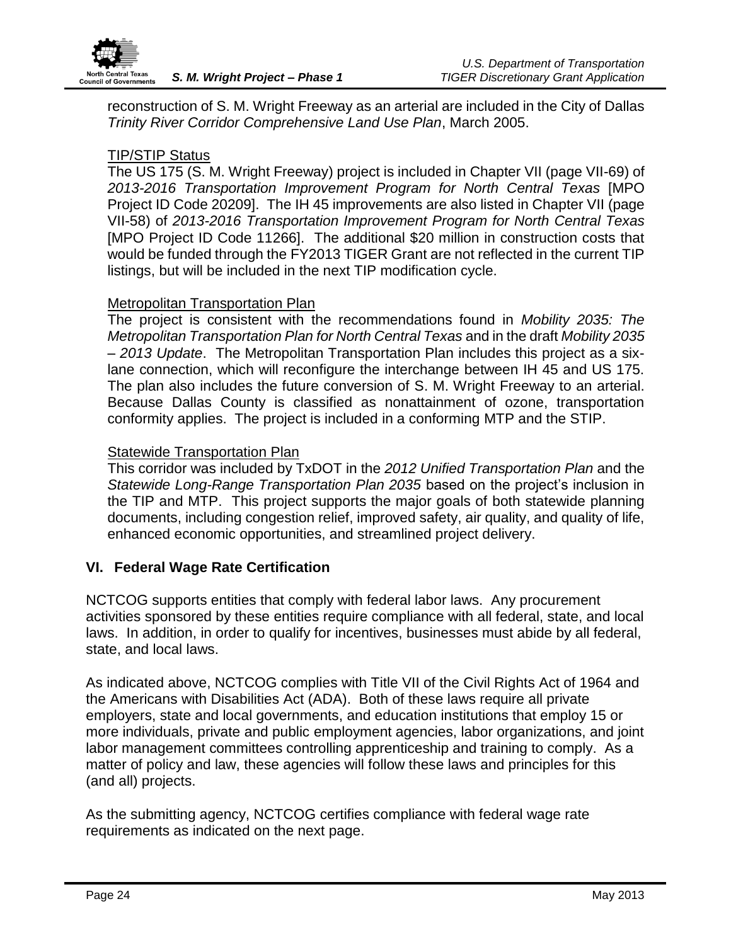

reconstruction of S. M. Wright Freeway as an arterial are included in the City of Dallas *Trinity River Corridor Comprehensive Land Use Plan*, March 2005.

### TIP/STIP Status

The US 175 (S. M. Wright Freeway) project is included in Chapter VII (page VII-69) of *2013-2016 Transportation Improvement Program for North Central Texas* [MPO Project ID Code 20209]. The IH 45 improvements are also listed in Chapter VII (page VII-58) of *2013-2016 Transportation Improvement Program for North Central Texas* [MPO Project ID Code 11266]. The additional \$20 million in construction costs that would be funded through the FY2013 TIGER Grant are not reflected in the current TIP listings, but will be included in the next TIP modification cycle.

### Metropolitan Transportation Plan

The project is consistent with the recommendations found in *Mobility 2035: The Metropolitan Transportation Plan for North Central Texas* and in the draft *Mobility 2035 – 2013 Update*. The Metropolitan Transportation Plan includes this project as a sixlane connection, which will reconfigure the interchange between IH 45 and US 175. The plan also includes the future conversion of S. M. Wright Freeway to an arterial. Because Dallas County is classified as nonattainment of ozone, transportation conformity applies. The project is included in a conforming MTP and the STIP.

# Statewide Transportation Plan

This corridor was included by TxDOT in the *2012 Unified Transportation Plan* and the *Statewide Long-Range Transportation Plan 2035* based on the project's inclusion in the TIP and MTP. This project supports the major goals of both statewide planning documents, including congestion relief, improved safety, air quality, and quality of life, enhanced economic opportunities, and streamlined project delivery.

# <span id="page-29-0"></span>**VI. Federal Wage Rate Certification**

NCTCOG supports entities that comply with federal labor laws. Any procurement activities sponsored by these entities require compliance with all federal, state, and local laws. In addition, in order to qualify for incentives, businesses must abide by all federal, state, and local laws.

As indicated above, NCTCOG complies with Title VII of the Civil Rights Act of 1964 and the Americans with Disabilities Act (ADA). Both of these laws require all private employers, state and local governments, and education institutions that employ 15 or more individuals, private and public employment agencies, labor organizations, and joint labor management committees controlling apprenticeship and training to comply. As a matter of policy and law, these agencies will follow these laws and principles for this (and all) projects.

As the submitting agency, NCTCOG certifies compliance with federal wage rate requirements as indicated on the next page.